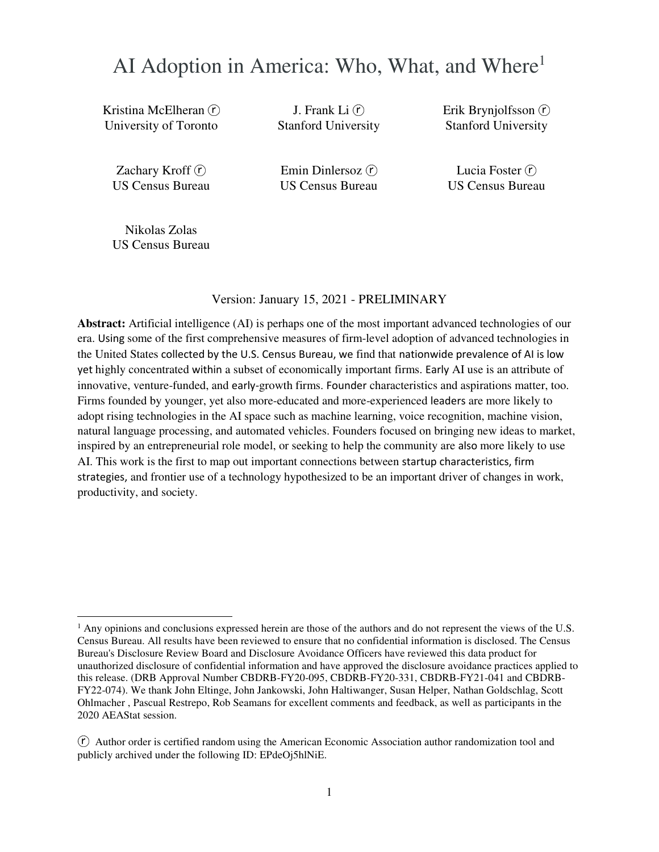# AI Adoption in America: Who, What, and Where<sup>1</sup>

Kristina McElheran (r) University of Toronto

J. Frank Li $($ f $)$ Stanford University Erik Brynjolfsson  $(\tilde{r})$ Stanford University

Zachary Kroff $(r)$ US Census Bureau

Emin Dinlersoz  $(\hat{r})$ US Census Bureau

Lucia Foster  $(\hat{r})$ US Census Bureau

Nikolas Zolas US Census Bureau

 $\overline{a}$ 

Version: January 15, 2021 - PRELIMINARY

**Abstract:** Artificial intelligence (AI) is perhaps one of the most important advanced technologies of our era. Using some of the first comprehensive measures of firm-level adoption of advanced technologies in the United States collected by the U.S. Census Bureau, we find that nationwide prevalence of AI is low yet highly concentrated within a subset of economically important firms. Early AI use is an attribute of innovative, venture-funded, and early-growth firms. Founder characteristics and aspirations matter, too. Firms founded by younger, yet also more-educated and more-experienced leaders are more likely to adopt rising technologies in the AI space such as machine learning, voice recognition, machine vision, natural language processing, and automated vehicles. Founders focused on bringing new ideas to market, inspired by an entrepreneurial role model, or seeking to help the community are also more likely to use AI. This work is the first to map out important connections between startup characteristics, firm strategies, and frontier use of a technology hypothesized to be an important driver of changes in work, productivity, and society.

<sup>&</sup>lt;sup>1</sup> Any opinions and conclusions expressed herein are those of the authors and do not represent the views of the U.S. Census Bureau. All results have been reviewed to ensure that no confidential information is disclosed. The Census Bureau's Disclosure Review Board and Disclosure Avoidance Officers have reviewed this data product for unauthorized disclosure of confidential information and have approved the disclosure avoidance practices applied to this release. (DRB Approval Number CBDRB-FY20-095, CBDRB-FY20-331, CBDRB-FY21-041 and CBDRB-FY22-074). We thank John Eltinge, John Jankowski, John Haltiwanger, Susan Helper, Nathan Goldschlag, Scott Ohlmacher , Pascual Restrepo, Rob Seamans for excellent comments and feedback, as well as participants in the 2020 AEAStat session.

 $(\hat{r})$  Author order is certified random using the American Economic Association author randomization tool and publicly archived under the following ID: EPdeOj5hlNiE.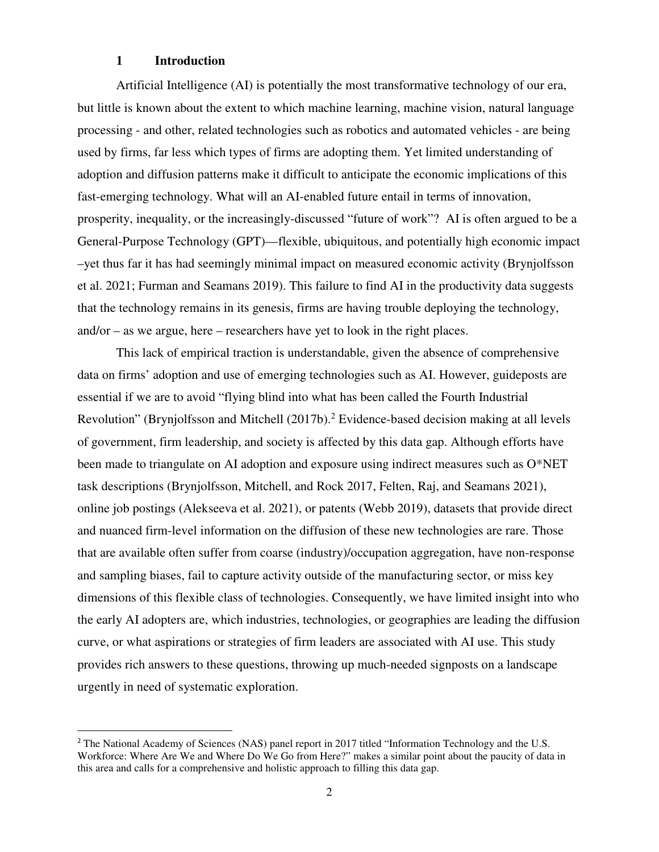#### **1 Introduction**

<u>.</u>

Artificial Intelligence (AI) is potentially the most transformative technology of our era, but little is known about the extent to which machine learning, machine vision, natural language processing - and other, related technologies such as robotics and automated vehicles - are being used by firms, far less which types of firms are adopting them. Yet limited understanding of adoption and diffusion patterns make it difficult to anticipate the economic implications of this fast-emerging technology. What will an AI-enabled future entail in terms of innovation, prosperity, inequality, or the increasingly-discussed "future of work"? AI is often argued to be a General-Purpose Technology (GPT)—flexible, ubiquitous, and potentially high economic impact –yet thus far it has had seemingly minimal impact on measured economic activity (Brynjolfsson et al. 2021; Furman and Seamans 2019). This failure to find AI in the productivity data suggests that the technology remains in its genesis, firms are having trouble deploying the technology, and/or – as we argue, here – researchers have yet to look in the right places.

This lack of empirical traction is understandable, given the absence of comprehensive data on firms' adoption and use of emerging technologies such as AI. However, guideposts are essential if we are to avoid "flying blind into what has been called the Fourth Industrial Revolution" (Brynjolfsson and Mitchell (2017b).<sup>2</sup> Evidence-based decision making at all levels of government, firm leadership, and society is affected by this data gap. Although efforts have been made to triangulate on AI adoption and exposure using indirect measures such as O\*NET task descriptions (Brynjolfsson, Mitchell, and Rock 2017, Felten, Raj, and Seamans 2021), online job postings (Alekseeva et al. 2021), or patents (Webb 2019), datasets that provide direct and nuanced firm-level information on the diffusion of these new technologies are rare. Those that are available often suffer from coarse (industry)/occupation aggregation, have non-response and sampling biases, fail to capture activity outside of the manufacturing sector, or miss key dimensions of this flexible class of technologies. Consequently, we have limited insight into who the early AI adopters are, which industries, technologies, or geographies are leading the diffusion curve, or what aspirations or strategies of firm leaders are associated with AI use. This study provides rich answers to these questions, throwing up much-needed signposts on a landscape urgently in need of systematic exploration.

<sup>&</sup>lt;sup>2</sup> The National Academy of Sciences (NAS) panel report in 2017 titled "Information Technology and the U.S. Workforce: Where Are We and Where Do We Go from Here?" makes a similar point about the paucity of data in this area and calls for a comprehensive and holistic approach to filling this data gap.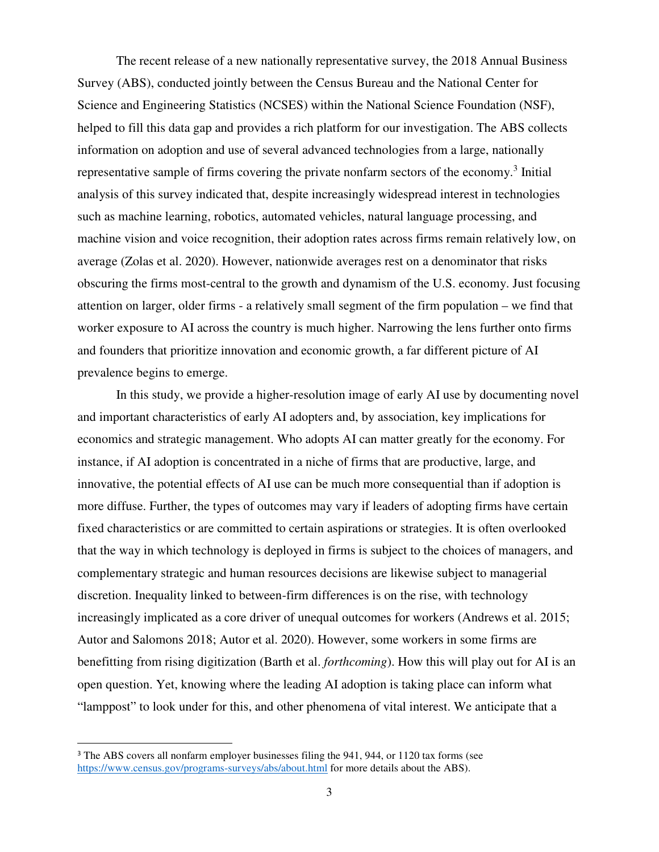The recent release of a new nationally representative survey, the 2018 Annual Business Survey (ABS), conducted jointly between the Census Bureau and the National Center for Science and Engineering Statistics (NCSES) within the National Science Foundation (NSF), helped to fill this data gap and provides a rich platform for our investigation. The ABS collects information on adoption and use of several advanced technologies from a large, nationally representative sample of firms covering the private nonfarm sectors of the economy.<sup>3</sup> Initial analysis of this survey indicated that, despite increasingly widespread interest in technologies such as machine learning, robotics, automated vehicles, natural language processing, and machine vision and voice recognition, their adoption rates across firms remain relatively low, on average (Zolas et al. 2020). However, nationwide averages rest on a denominator that risks obscuring the firms most-central to the growth and dynamism of the U.S. economy. Just focusing attention on larger, older firms - a relatively small segment of the firm population – we find that worker exposure to AI across the country is much higher. Narrowing the lens further onto firms and founders that prioritize innovation and economic growth, a far different picture of AI prevalence begins to emerge.

In this study, we provide a higher-resolution image of early AI use by documenting novel and important characteristics of early AI adopters and, by association, key implications for economics and strategic management. Who adopts AI can matter greatly for the economy. For instance, if AI adoption is concentrated in a niche of firms that are productive, large, and innovative, the potential effects of AI use can be much more consequential than if adoption is more diffuse. Further, the types of outcomes may vary if leaders of adopting firms have certain fixed characteristics or are committed to certain aspirations or strategies. It is often overlooked that the way in which technology is deployed in firms is subject to the choices of managers, and complementary strategic and human resources decisions are likewise subject to managerial discretion. Inequality linked to between-firm differences is on the rise, with technology increasingly implicated as a core driver of unequal outcomes for workers (Andrews et al. 2015; Autor and Salomons 2018; Autor et al. 2020). However, some workers in some firms are benefitting from rising digitization (Barth et al. *forthcoming*). How this will play out for AI is an open question. Yet, knowing where the leading AI adoption is taking place can inform what "lamppost" to look under for this, and other phenomena of vital interest. We anticipate that a

<u>.</u>

<sup>&</sup>lt;sup>3</sup> The ABS covers all nonfarm employer businesses filing the 941, 944, or 1120 tax forms (see https://www.census.gov/programs-surveys/abs/about.html for more details about the ABS).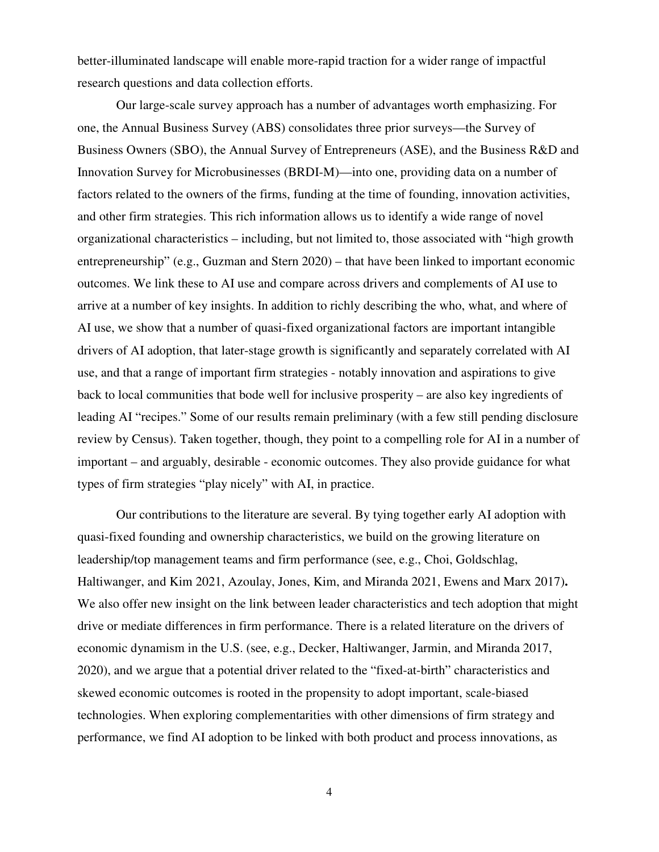better-illuminated landscape will enable more-rapid traction for a wider range of impactful research questions and data collection efforts.

Our large-scale survey approach has a number of advantages worth emphasizing. For one, the Annual Business Survey (ABS) consolidates three prior surveys—the Survey of Business Owners (SBO), the Annual Survey of Entrepreneurs (ASE), and the Business R&D and Innovation Survey for Microbusinesses (BRDI-M)—into one, providing data on a number of factors related to the owners of the firms, funding at the time of founding, innovation activities, and other firm strategies. This rich information allows us to identify a wide range of novel organizational characteristics – including, but not limited to, those associated with "high growth entrepreneurship" (e.g., Guzman and Stern 2020) – that have been linked to important economic outcomes. We link these to AI use and compare across drivers and complements of AI use to arrive at a number of key insights. In addition to richly describing the who, what, and where of AI use, we show that a number of quasi-fixed organizational factors are important intangible drivers of AI adoption, that later-stage growth is significantly and separately correlated with AI use, and that a range of important firm strategies - notably innovation and aspirations to give back to local communities that bode well for inclusive prosperity – are also key ingredients of leading AI "recipes." Some of our results remain preliminary (with a few still pending disclosure review by Census). Taken together, though, they point to a compelling role for AI in a number of important – and arguably, desirable - economic outcomes. They also provide guidance for what types of firm strategies "play nicely" with AI, in practice.

Our contributions to the literature are several. By tying together early AI adoption with quasi-fixed founding and ownership characteristics, we build on the growing literature on leadership/top management teams and firm performance (see, e.g., Choi, Goldschlag, Haltiwanger, and Kim 2021, Azoulay, Jones, Kim, and Miranda 2021, Ewens and Marx 2017)**.**  We also offer new insight on the link between leader characteristics and tech adoption that might drive or mediate differences in firm performance. There is a related literature on the drivers of economic dynamism in the U.S. (see, e.g., Decker, Haltiwanger, Jarmin, and Miranda 2017, 2020), and we argue that a potential driver related to the "fixed-at-birth" characteristics and skewed economic outcomes is rooted in the propensity to adopt important, scale-biased technologies. When exploring complementarities with other dimensions of firm strategy and performance, we find AI adoption to be linked with both product and process innovations, as

4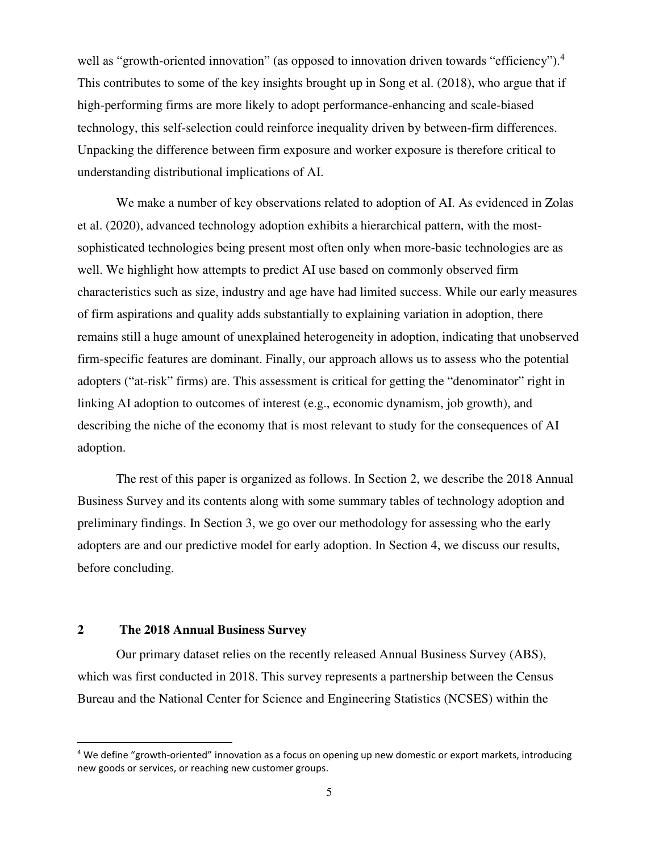well as "growth-oriented innovation" (as opposed to innovation driven towards "efficiency").<sup>4</sup> This contributes to some of the key insights brought up in Song et al. (2018), who argue that if high-performing firms are more likely to adopt performance-enhancing and scale-biased technology, this self-selection could reinforce inequality driven by between-firm differences. Unpacking the difference between firm exposure and worker exposure is therefore critical to understanding distributional implications of AI.

We make a number of key observations related to adoption of AI. As evidenced in Zolas et al. (2020), advanced technology adoption exhibits a hierarchical pattern, with the mostsophisticated technologies being present most often only when more-basic technologies are as well. We highlight how attempts to predict AI use based on commonly observed firm characteristics such as size, industry and age have had limited success. While our early measures of firm aspirations and quality adds substantially to explaining variation in adoption, there remains still a huge amount of unexplained heterogeneity in adoption, indicating that unobserved firm-specific features are dominant. Finally, our approach allows us to assess who the potential adopters ("at-risk" firms) are. This assessment is critical for getting the "denominator" right in linking AI adoption to outcomes of interest (e.g., economic dynamism, job growth), and describing the niche of the economy that is most relevant to study for the consequences of AI adoption.

The rest of this paper is organized as follows. In Section 2, we describe the 2018 Annual Business Survey and its contents along with some summary tables of technology adoption and preliminary findings. In Section 3, we go over our methodology for assessing who the early adopters are and our predictive model for early adoption. In Section 4, we discuss our results, before concluding.

#### **2 The 2018 Annual Business Survey**

<u>.</u>

Our primary dataset relies on the recently released Annual Business Survey (ABS), which was first conducted in 2018. This survey represents a partnership between the Census Bureau and the National Center for Science and Engineering Statistics (NCSES) within the

<sup>&</sup>lt;sup>4</sup> We define "growth-oriented" innovation as a focus on opening up new domestic or export markets, introducing new goods or services, or reaching new customer groups.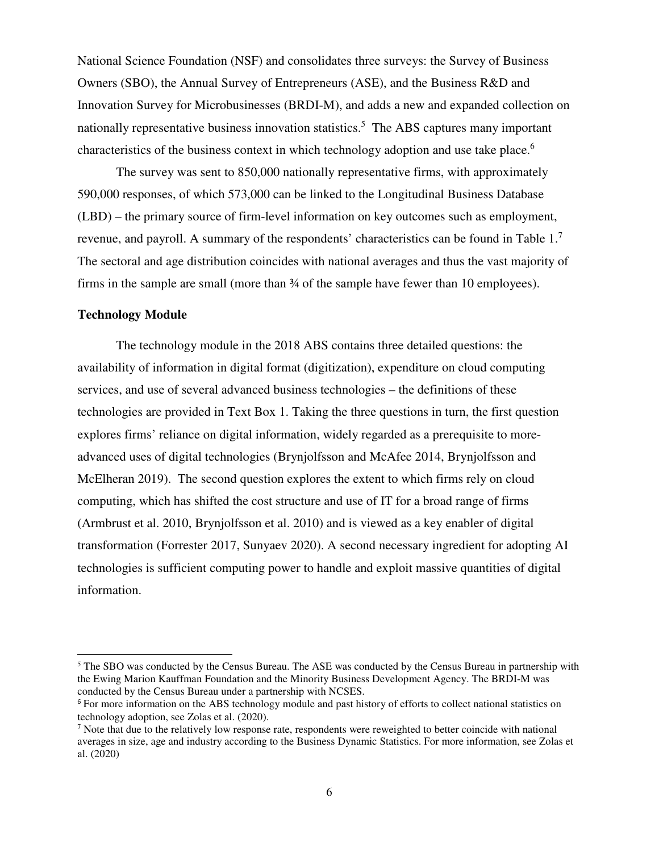National Science Foundation (NSF) and consolidates three surveys: the Survey of Business Owners (SBO), the Annual Survey of Entrepreneurs (ASE), and the Business R&D and Innovation Survey for Microbusinesses (BRDI-M), and adds a new and expanded collection on nationally representative business innovation statistics.<sup>5</sup> The ABS captures many important characteristics of the business context in which technology adoption and use take place.<sup>6</sup>

The survey was sent to 850,000 nationally representative firms, with approximately 590,000 responses, of which 573,000 can be linked to the Longitudinal Business Database (LBD) – the primary source of firm-level information on key outcomes such as employment, revenue, and payroll. A summary of the respondents' characteristics can be found in Table 1.<sup>7</sup> The sectoral and age distribution coincides with national averages and thus the vast majority of firms in the sample are small (more than  $\frac{3}{4}$  of the sample have fewer than 10 employees).

#### **Technology Module**

<u>.</u>

The technology module in the 2018 ABS contains three detailed questions: the availability of information in digital format (digitization), expenditure on cloud computing services, and use of several advanced business technologies – the definitions of these technologies are provided in Text Box 1. Taking the three questions in turn, the first question explores firms' reliance on digital information, widely regarded as a prerequisite to moreadvanced uses of digital technologies (Brynjolfsson and McAfee 2014, Brynjolfsson and McElheran 2019). The second question explores the extent to which firms rely on cloud computing, which has shifted the cost structure and use of IT for a broad range of firms (Armbrust et al. 2010, Brynjolfsson et al. 2010) and is viewed as a key enabler of digital transformation (Forrester 2017, Sunyaev 2020). A second necessary ingredient for adopting AI technologies is sufficient computing power to handle and exploit massive quantities of digital information.

<sup>&</sup>lt;sup>5</sup> The SBO was conducted by the Census Bureau. The ASE was conducted by the Census Bureau in partnership with the Ewing Marion Kauffman Foundation and the Minority Business Development Agency. The BRDI-M was conducted by the Census Bureau under a partnership with NCSES.

<sup>&</sup>lt;sup>6</sup> For more information on the ABS technology module and past history of efforts to collect national statistics on technology adoption, see Zolas et al. (2020).

 $<sup>7</sup>$  Note that due to the relatively low response rate, respondents were reweighted to better coincide with national</sup> averages in size, age and industry according to the Business Dynamic Statistics. For more information, see Zolas et al. (2020)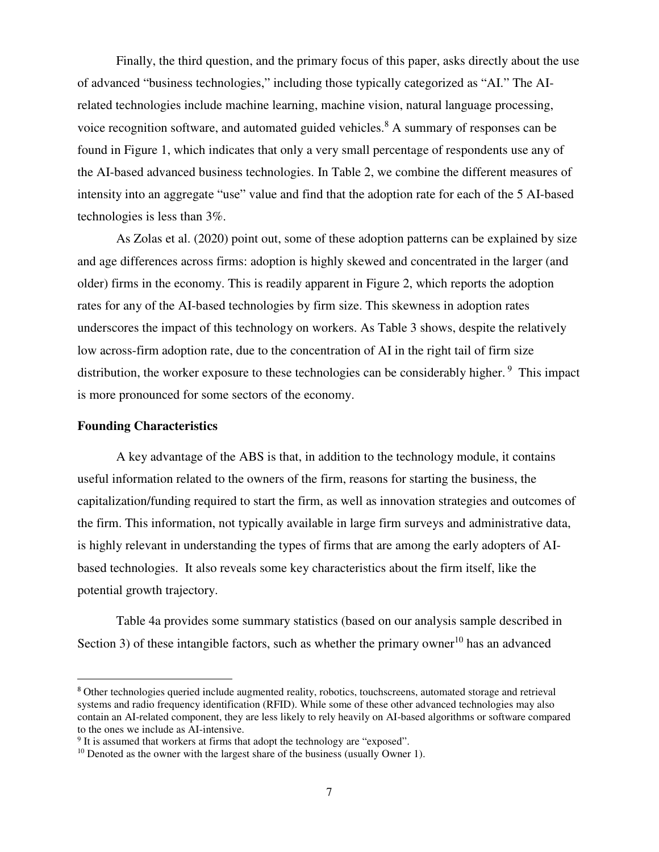Finally, the third question, and the primary focus of this paper, asks directly about the use of advanced "business technologies," including those typically categorized as "AI." The AIrelated technologies include machine learning, machine vision, natural language processing, voice recognition software, and automated guided vehicles.<sup>8</sup> A summary of responses can be found in Figure 1, which indicates that only a very small percentage of respondents use any of the AI-based advanced business technologies. In Table 2, we combine the different measures of intensity into an aggregate "use" value and find that the adoption rate for each of the 5 AI-based technologies is less than 3%.

As Zolas et al. (2020) point out, some of these adoption patterns can be explained by size and age differences across firms: adoption is highly skewed and concentrated in the larger (and older) firms in the economy. This is readily apparent in Figure 2, which reports the adoption rates for any of the AI-based technologies by firm size. This skewness in adoption rates underscores the impact of this technology on workers. As Table 3 shows, despite the relatively low across-firm adoption rate, due to the concentration of AI in the right tail of firm size distribution, the worker exposure to these technologies can be considerably higher.<sup>9</sup> This impact is more pronounced for some sectors of the economy.

#### **Founding Characteristics**

<u>.</u>

A key advantage of the ABS is that, in addition to the technology module, it contains useful information related to the owners of the firm, reasons for starting the business, the capitalization/funding required to start the firm, as well as innovation strategies and outcomes of the firm. This information, not typically available in large firm surveys and administrative data, is highly relevant in understanding the types of firms that are among the early adopters of AIbased technologies. It also reveals some key characteristics about the firm itself, like the potential growth trajectory.

Table 4a provides some summary statistics (based on our analysis sample described in Section 3) of these intangible factors, such as whether the primary owner<sup>10</sup> has an advanced

<sup>8</sup> Other technologies queried include augmented reality, robotics, touchscreens, automated storage and retrieval systems and radio frequency identification (RFID). While some of these other advanced technologies may also contain an AI-related component, they are less likely to rely heavily on AI-based algorithms or software compared to the ones we include as AI-intensive.

<sup>&</sup>lt;sup>9</sup> It is assumed that workers at firms that adopt the technology are "exposed".

 $10$  Denoted as the owner with the largest share of the business (usually Owner 1).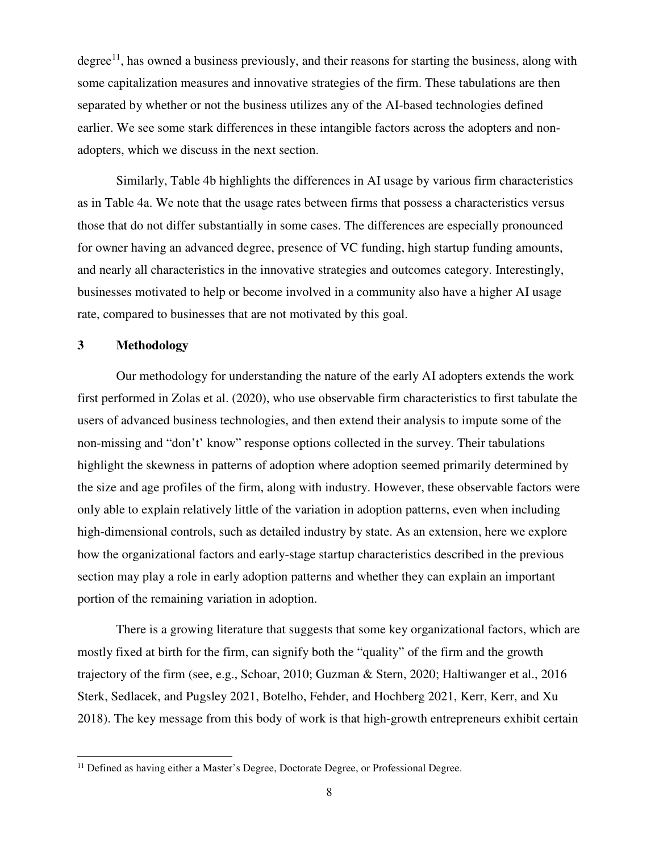degree<sup>11</sup>, has owned a business previously, and their reasons for starting the business, along with some capitalization measures and innovative strategies of the firm. These tabulations are then separated by whether or not the business utilizes any of the AI-based technologies defined earlier. We see some stark differences in these intangible factors across the adopters and nonadopters, which we discuss in the next section.

Similarly, Table 4b highlights the differences in AI usage by various firm characteristics as in Table 4a. We note that the usage rates between firms that possess a characteristics versus those that do not differ substantially in some cases. The differences are especially pronounced for owner having an advanced degree, presence of VC funding, high startup funding amounts, and nearly all characteristics in the innovative strategies and outcomes category. Interestingly, businesses motivated to help or become involved in a community also have a higher AI usage rate, compared to businesses that are not motivated by this goal.

#### **3 Methodology**

-

Our methodology for understanding the nature of the early AI adopters extends the work first performed in Zolas et al. (2020), who use observable firm characteristics to first tabulate the users of advanced business technologies, and then extend their analysis to impute some of the non-missing and "don't' know" response options collected in the survey. Their tabulations highlight the skewness in patterns of adoption where adoption seemed primarily determined by the size and age profiles of the firm, along with industry. However, these observable factors were only able to explain relatively little of the variation in adoption patterns, even when including high-dimensional controls, such as detailed industry by state. As an extension, here we explore how the organizational factors and early-stage startup characteristics described in the previous section may play a role in early adoption patterns and whether they can explain an important portion of the remaining variation in adoption.

There is a growing literature that suggests that some key organizational factors, which are mostly fixed at birth for the firm, can signify both the "quality" of the firm and the growth trajectory of the firm (see, e.g., Schoar, 2010; Guzman & Stern, 2020; Haltiwanger et al., 2016 Sterk, Sedlacek, and Pugsley 2021, Botelho, Fehder, and Hochberg 2021, Kerr, Kerr, and Xu 2018). The key message from this body of work is that high-growth entrepreneurs exhibit certain

<sup>&</sup>lt;sup>11</sup> Defined as having either a Master's Degree, Doctorate Degree, or Professional Degree.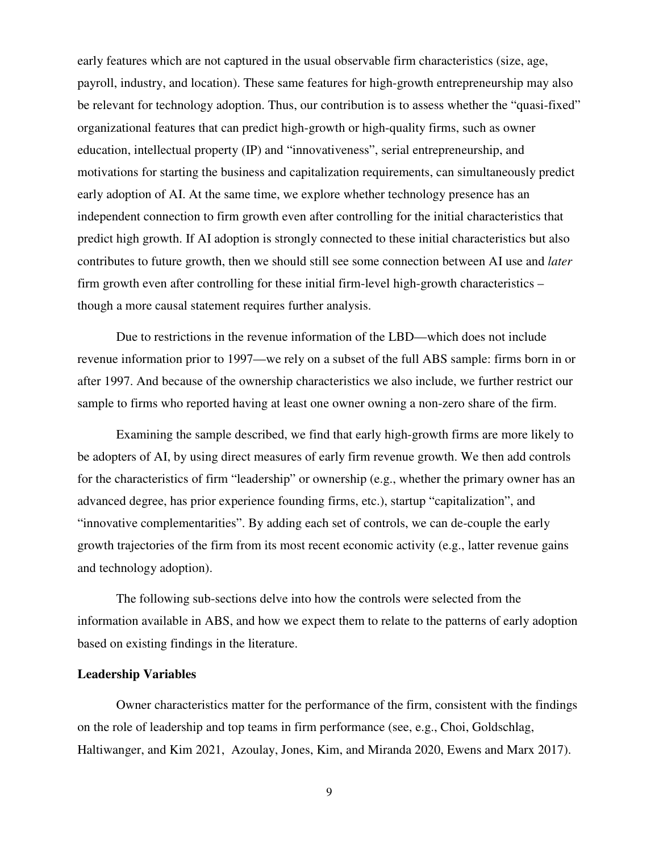early features which are not captured in the usual observable firm characteristics (size, age, payroll, industry, and location). These same features for high-growth entrepreneurship may also be relevant for technology adoption. Thus, our contribution is to assess whether the "quasi-fixed" organizational features that can predict high-growth or high-quality firms, such as owner education, intellectual property (IP) and "innovativeness", serial entrepreneurship, and motivations for starting the business and capitalization requirements, can simultaneously predict early adoption of AI. At the same time, we explore whether technology presence has an independent connection to firm growth even after controlling for the initial characteristics that predict high growth. If AI adoption is strongly connected to these initial characteristics but also contributes to future growth, then we should still see some connection between AI use and *later* firm growth even after controlling for these initial firm-level high-growth characteristics – though a more causal statement requires further analysis.

Due to restrictions in the revenue information of the LBD—which does not include revenue information prior to 1997—we rely on a subset of the full ABS sample: firms born in or after 1997. And because of the ownership characteristics we also include, we further restrict our sample to firms who reported having at least one owner owning a non-zero share of the firm.

Examining the sample described, we find that early high-growth firms are more likely to be adopters of AI, by using direct measures of early firm revenue growth. We then add controls for the characteristics of firm "leadership" or ownership (e.g., whether the primary owner has an advanced degree, has prior experience founding firms, etc.), startup "capitalization", and "innovative complementarities". By adding each set of controls, we can de-couple the early growth trajectories of the firm from its most recent economic activity (e.g., latter revenue gains and technology adoption).

The following sub-sections delve into how the controls were selected from the information available in ABS, and how we expect them to relate to the patterns of early adoption based on existing findings in the literature.

#### **Leadership Variables**

Owner characteristics matter for the performance of the firm, consistent with the findings on the role of leadership and top teams in firm performance (see, e.g., Choi, Goldschlag, Haltiwanger, and Kim 2021, Azoulay, Jones, Kim, and Miranda 2020, Ewens and Marx 2017).

9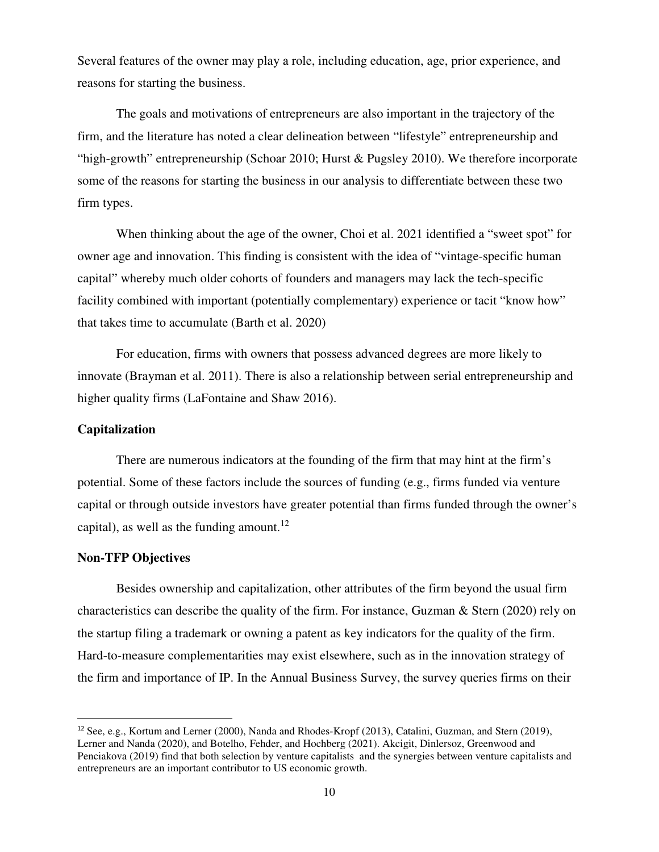Several features of the owner may play a role, including education, age, prior experience, and reasons for starting the business.

The goals and motivations of entrepreneurs are also important in the trajectory of the firm, and the literature has noted a clear delineation between "lifestyle" entrepreneurship and "high-growth" entrepreneurship (Schoar 2010; Hurst & Pugsley 2010). We therefore incorporate some of the reasons for starting the business in our analysis to differentiate between these two firm types.

When thinking about the age of the owner, Choi et al. 2021 identified a "sweet spot" for owner age and innovation. This finding is consistent with the idea of "vintage-specific human capital" whereby much older cohorts of founders and managers may lack the tech-specific facility combined with important (potentially complementary) experience or tacit "know how" that takes time to accumulate (Barth et al. 2020)

For education, firms with owners that possess advanced degrees are more likely to innovate (Brayman et al. 2011). There is also a relationship between serial entrepreneurship and higher quality firms (LaFontaine and Shaw 2016).

#### **Capitalization**

 There are numerous indicators at the founding of the firm that may hint at the firm's potential. Some of these factors include the sources of funding (e.g., firms funded via venture capital or through outside investors have greater potential than firms funded through the owner's capital), as well as the funding amount.<sup>12</sup>

#### **Non-TFP Objectives**

-

 Besides ownership and capitalization, other attributes of the firm beyond the usual firm characteristics can describe the quality of the firm. For instance, Guzman & Stern (2020) rely on the startup filing a trademark or owning a patent as key indicators for the quality of the firm. Hard-to-measure complementarities may exist elsewhere, such as in the innovation strategy of the firm and importance of IP. In the Annual Business Survey, the survey queries firms on their

<sup>12</sup> See, e.g., Kortum and Lerner (2000), Nanda and Rhodes-Kropf (2013), Catalini, Guzman, and Stern (2019), Lerner and Nanda (2020), and Botelho, Fehder, and Hochberg (2021). Akcigit, Dinlersoz, Greenwood and Penciakova (2019) find that both selection by venture capitalists and the synergies between venture capitalists and entrepreneurs are an important contributor to US economic growth.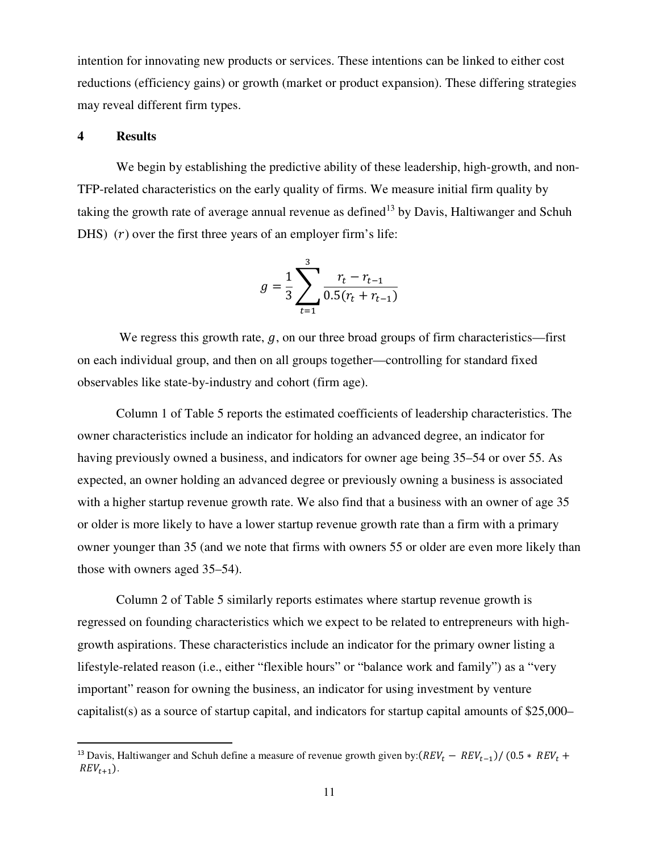intention for innovating new products or services. These intentions can be linked to either cost reductions (efficiency gains) or growth (market or product expansion). These differing strategies may reveal different firm types.

#### **4 Results**

-

We begin by establishing the predictive ability of these leadership, high-growth, and non-TFP-related characteristics on the early quality of firms. We measure initial firm quality by taking the growth rate of average annual revenue as defined<sup>13</sup> by Davis, Haltiwanger and Schuh DHS)  $(r)$  over the first three years of an employer firm's life:

$$
g = \frac{1}{3} \sum_{t=1}^{3} \frac{r_t - r_{t-1}}{0.5(r_t + r_{t-1})}
$$

We regress this growth rate,  $g$ , on our three broad groups of firm characteristics—first on each individual group, and then on all groups together—controlling for standard fixed observables like state-by-industry and cohort (firm age).

Column 1 of Table 5 reports the estimated coefficients of leadership characteristics. The owner characteristics include an indicator for holding an advanced degree, an indicator for having previously owned a business, and indicators for owner age being 35–54 or over 55. As expected, an owner holding an advanced degree or previously owning a business is associated with a higher startup revenue growth rate. We also find that a business with an owner of age 35 or older is more likely to have a lower startup revenue growth rate than a firm with a primary owner younger than 35 (and we note that firms with owners 55 or older are even more likely than those with owners aged 35–54).

Column 2 of Table 5 similarly reports estimates where startup revenue growth is regressed on founding characteristics which we expect to be related to entrepreneurs with highgrowth aspirations. These characteristics include an indicator for the primary owner listing a lifestyle-related reason (i.e., either "flexible hours" or "balance work and family") as a "very important" reason for owning the business, an indicator for using investment by venture capitalist(s) as a source of startup capital, and indicators for startup capital amounts of \$25,000–

<sup>&</sup>lt;sup>13</sup> Davis, Haltiwanger and Schuh define a measure of revenue growth given by: $(REV_t - REV_{t-1})/(0.5 * REV_t +$  $REV_{t+1}$ ).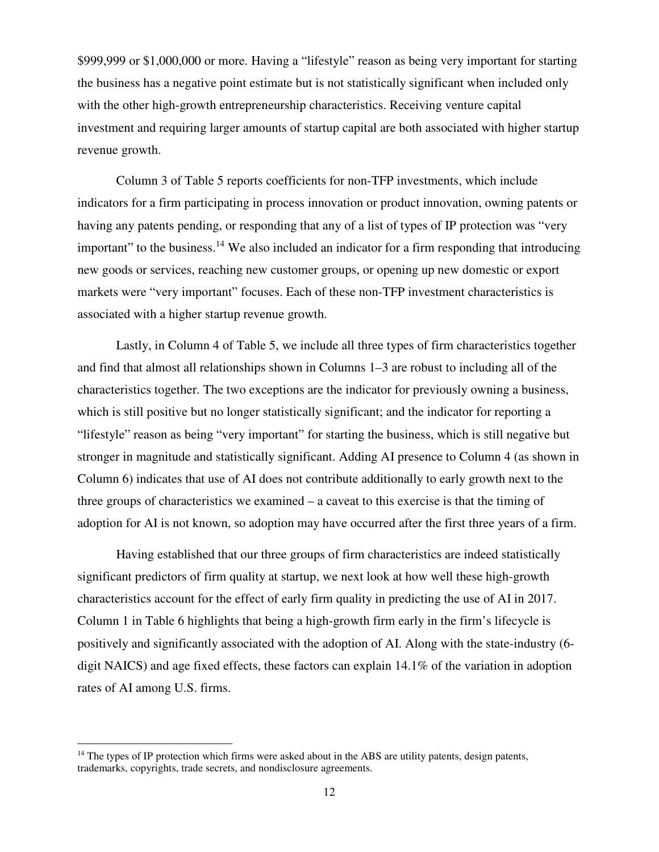\$999,999 or \$1,000,000 or more. Having a "lifestyle" reason as being very important for starting the business has a negative point estimate but is not statistically significant when included only with the other high-growth entrepreneurship characteristics. Receiving venture capital investment and requiring larger amounts of startup capital are both associated with higher startup revenue growth.

Column 3 of Table 5 reports coefficients for non-TFP investments, which include indicators for a firm participating in process innovation or product innovation, owning patents or having any patents pending, or responding that any of a list of types of IP protection was "very important" to the business.<sup>14</sup> We also included an indicator for a firm responding that introducing new goods or services, reaching new customer groups, or opening up new domestic or export markets were "very important" focuses. Each of these non-TFP investment characteristics is associated with a higher startup revenue growth.

Lastly, in Column 4 of Table 5, we include all three types of firm characteristics together and find that almost all relationships shown in Columns 1–3 are robust to including all of the characteristics together. The two exceptions are the indicator for previously owning a business, which is still positive but no longer statistically significant; and the indicator for reporting a "lifestyle" reason as being "very important" for starting the business, which is still negative but stronger in magnitude and statistically significant. Adding AI presence to Column 4 (as shown in Column 6) indicates that use of AI does not contribute additionally to early growth next to the three groups of characteristics we examined – a caveat to this exercise is that the timing of adoption for AI is not known, so adoption may have occurred after the first three years of a firm.

Having established that our three groups of firm characteristics are indeed statistically significant predictors of firm quality at startup, we next look at how well these high-growth characteristics account for the effect of early firm quality in predicting the use of AI in 2017. Column 1 in Table 6 highlights that being a high-growth firm early in the firm's lifecycle is positively and significantly associated with the adoption of AI. Along with the state-industry (6 digit NAICS) and age fixed effects, these factors can explain 14.1% of the variation in adoption rates of AI among U.S. firms.

-

 $14$  The types of IP protection which firms were asked about in the ABS are utility patents, design patents, trademarks, copyrights, trade secrets, and nondisclosure agreements.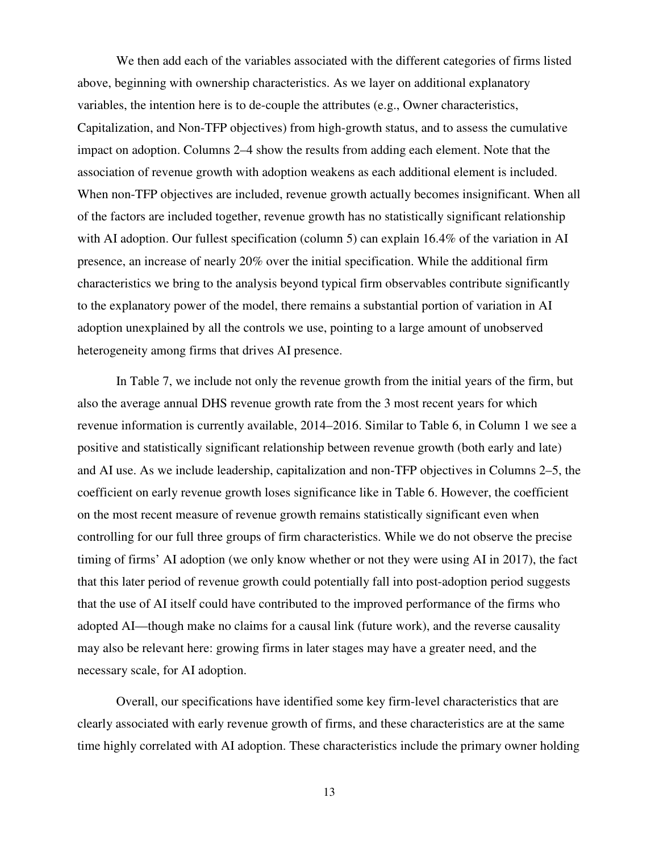We then add each of the variables associated with the different categories of firms listed above, beginning with ownership characteristics. As we layer on additional explanatory variables, the intention here is to de-couple the attributes (e.g., Owner characteristics, Capitalization, and Non-TFP objectives) from high-growth status, and to assess the cumulative impact on adoption. Columns 2–4 show the results from adding each element. Note that the association of revenue growth with adoption weakens as each additional element is included. When non-TFP objectives are included, revenue growth actually becomes insignificant. When all of the factors are included together, revenue growth has no statistically significant relationship with AI adoption. Our fullest specification (column 5) can explain 16.4% of the variation in AI presence, an increase of nearly 20% over the initial specification. While the additional firm characteristics we bring to the analysis beyond typical firm observables contribute significantly to the explanatory power of the model, there remains a substantial portion of variation in AI adoption unexplained by all the controls we use, pointing to a large amount of unobserved heterogeneity among firms that drives AI presence.

In Table 7, we include not only the revenue growth from the initial years of the firm, but also the average annual DHS revenue growth rate from the 3 most recent years for which revenue information is currently available, 2014–2016. Similar to Table 6, in Column 1 we see a positive and statistically significant relationship between revenue growth (both early and late) and AI use. As we include leadership, capitalization and non-TFP objectives in Columns 2–5, the coefficient on early revenue growth loses significance like in Table 6. However, the coefficient on the most recent measure of revenue growth remains statistically significant even when controlling for our full three groups of firm characteristics. While we do not observe the precise timing of firms' AI adoption (we only know whether or not they were using AI in 2017), the fact that this later period of revenue growth could potentially fall into post-adoption period suggests that the use of AI itself could have contributed to the improved performance of the firms who adopted AI—though make no claims for a causal link (future work), and the reverse causality may also be relevant here: growing firms in later stages may have a greater need, and the necessary scale, for AI adoption.

Overall, our specifications have identified some key firm-level characteristics that are clearly associated with early revenue growth of firms, and these characteristics are at the same time highly correlated with AI adoption. These characteristics include the primary owner holding

13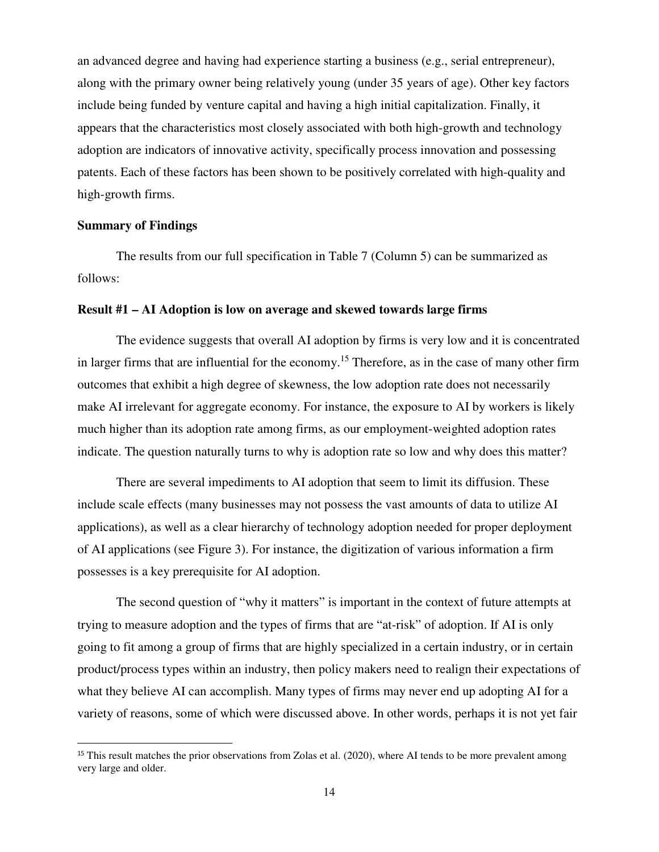an advanced degree and having had experience starting a business (e.g., serial entrepreneur), along with the primary owner being relatively young (under 35 years of age). Other key factors include being funded by venture capital and having a high initial capitalization. Finally, it appears that the characteristics most closely associated with both high-growth and technology adoption are indicators of innovative activity, specifically process innovation and possessing patents. Each of these factors has been shown to be positively correlated with high-quality and high-growth firms.

#### **Summary of Findings**

<u>.</u>

 The results from our full specification in Table 7 (Column 5) can be summarized as follows:

#### **Result #1 – AI Adoption is low on average and skewed towards large firms**

The evidence suggests that overall AI adoption by firms is very low and it is concentrated in larger firms that are influential for the economy.<sup>15</sup> Therefore, as in the case of many other firm outcomes that exhibit a high degree of skewness, the low adoption rate does not necessarily make AI irrelevant for aggregate economy. For instance, the exposure to AI by workers is likely much higher than its adoption rate among firms, as our employment-weighted adoption rates indicate. The question naturally turns to why is adoption rate so low and why does this matter?

 There are several impediments to AI adoption that seem to limit its diffusion. These include scale effects (many businesses may not possess the vast amounts of data to utilize AI applications), as well as a clear hierarchy of technology adoption needed for proper deployment of AI applications (see Figure 3). For instance, the digitization of various information a firm possesses is a key prerequisite for AI adoption.

 The second question of "why it matters" is important in the context of future attempts at trying to measure adoption and the types of firms that are "at-risk" of adoption. If AI is only going to fit among a group of firms that are highly specialized in a certain industry, or in certain product/process types within an industry, then policy makers need to realign their expectations of what they believe AI can accomplish. Many types of firms may never end up adopting AI for a variety of reasons, some of which were discussed above. In other words, perhaps it is not yet fair

<sup>&</sup>lt;sup>15</sup> This result matches the prior observations from Zolas et al. (2020), where AI tends to be more prevalent among very large and older.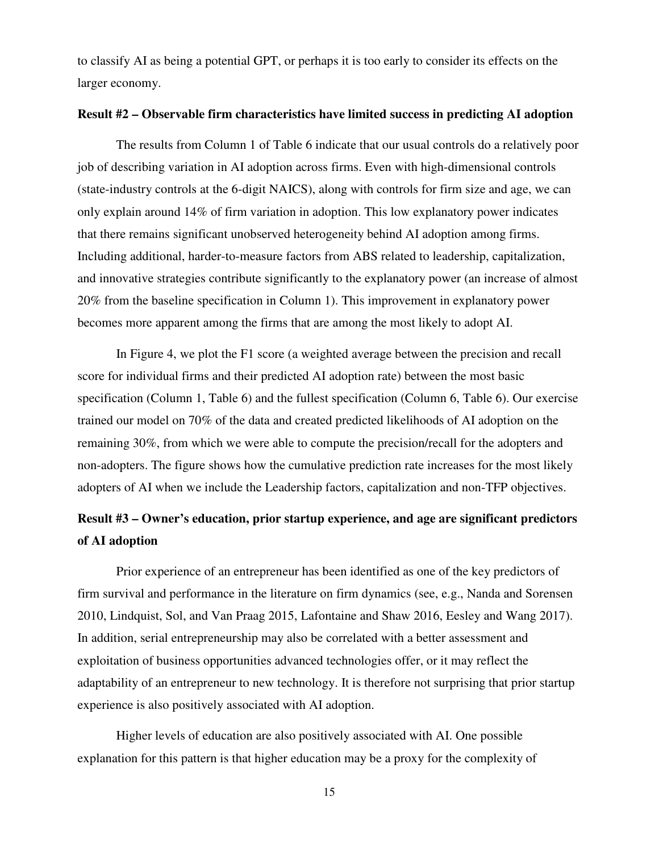to classify AI as being a potential GPT, or perhaps it is too early to consider its effects on the larger economy.

#### **Result #2 – Observable firm characteristics have limited success in predicting AI adoption**

 The results from Column 1 of Table 6 indicate that our usual controls do a relatively poor job of describing variation in AI adoption across firms. Even with high-dimensional controls (state-industry controls at the 6-digit NAICS), along with controls for firm size and age, we can only explain around 14% of firm variation in adoption. This low explanatory power indicates that there remains significant unobserved heterogeneity behind AI adoption among firms. Including additional, harder-to-measure factors from ABS related to leadership, capitalization, and innovative strategies contribute significantly to the explanatory power (an increase of almost 20% from the baseline specification in Column 1). This improvement in explanatory power becomes more apparent among the firms that are among the most likely to adopt AI.

 In Figure 4, we plot the F1 score (a weighted average between the precision and recall score for individual firms and their predicted AI adoption rate) between the most basic specification (Column 1, Table 6) and the fullest specification (Column 6, Table 6). Our exercise trained our model on 70% of the data and created predicted likelihoods of AI adoption on the remaining 30%, from which we were able to compute the precision/recall for the adopters and non-adopters. The figure shows how the cumulative prediction rate increases for the most likely adopters of AI when we include the Leadership factors, capitalization and non-TFP objectives.

## **Result #3 – Owner's education, prior startup experience, and age are significant predictors of AI adoption**

Prior experience of an entrepreneur has been identified as one of the key predictors of firm survival and performance in the literature on firm dynamics (see, e.g., Nanda and Sorensen 2010, Lindquist, Sol, and Van Praag 2015, Lafontaine and Shaw 2016, Eesley and Wang 2017). In addition, serial entrepreneurship may also be correlated with a better assessment and exploitation of business opportunities advanced technologies offer, or it may reflect the adaptability of an entrepreneur to new technology. It is therefore not surprising that prior startup experience is also positively associated with AI adoption.

Higher levels of education are also positively associated with AI. One possible explanation for this pattern is that higher education may be a proxy for the complexity of

15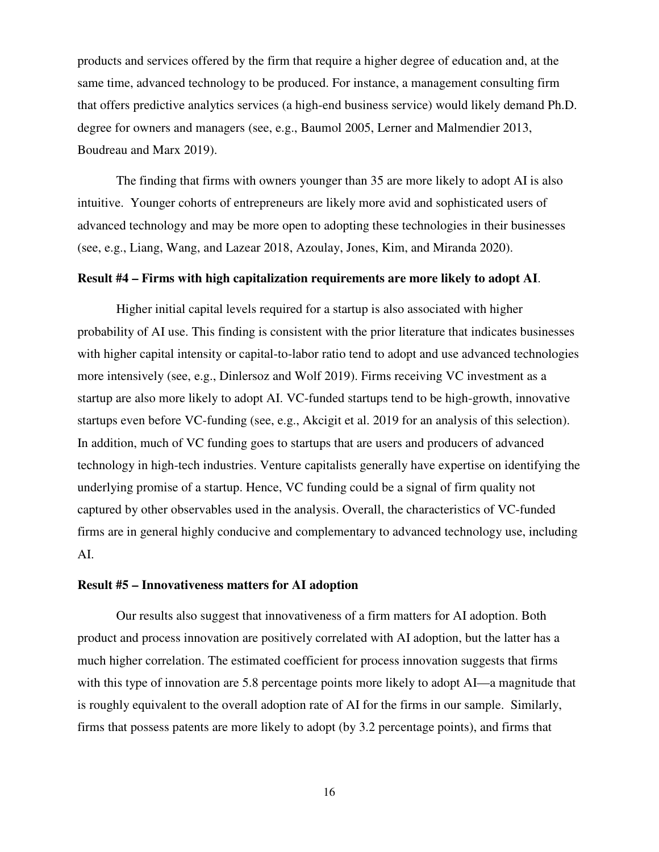products and services offered by the firm that require a higher degree of education and, at the same time, advanced technology to be produced. For instance, a management consulting firm that offers predictive analytics services (a high-end business service) would likely demand Ph.D. degree for owners and managers (see, e.g., Baumol 2005, Lerner and Malmendier 2013, Boudreau and Marx 2019).

The finding that firms with owners younger than 35 are more likely to adopt AI is also intuitive. Younger cohorts of entrepreneurs are likely more avid and sophisticated users of advanced technology and may be more open to adopting these technologies in their businesses (see, e.g., Liang, Wang, and Lazear 2018, Azoulay, Jones, Kim, and Miranda 2020).

#### **Result #4 – Firms with high capitalization requirements are more likely to adopt AI**.

Higher initial capital levels required for a startup is also associated with higher probability of AI use. This finding is consistent with the prior literature that indicates businesses with higher capital intensity or capital-to-labor ratio tend to adopt and use advanced technologies more intensively (see, e.g., Dinlersoz and Wolf 2019). Firms receiving VC investment as a startup are also more likely to adopt AI. VC-funded startups tend to be high-growth, innovative startups even before VC-funding (see, e.g., Akcigit et al. 2019 for an analysis of this selection). In addition, much of VC funding goes to startups that are users and producers of advanced technology in high-tech industries. Venture capitalists generally have expertise on identifying the underlying promise of a startup. Hence, VC funding could be a signal of firm quality not captured by other observables used in the analysis. Overall, the characteristics of VC-funded firms are in general highly conducive and complementary to advanced technology use, including AI.

#### **Result #5 – Innovativeness matters for AI adoption**

Our results also suggest that innovativeness of a firm matters for AI adoption. Both product and process innovation are positively correlated with AI adoption, but the latter has a much higher correlation. The estimated coefficient for process innovation suggests that firms with this type of innovation are 5.8 percentage points more likely to adopt AI—a magnitude that is roughly equivalent to the overall adoption rate of AI for the firms in our sample. Similarly, firms that possess patents are more likely to adopt (by 3.2 percentage points), and firms that

16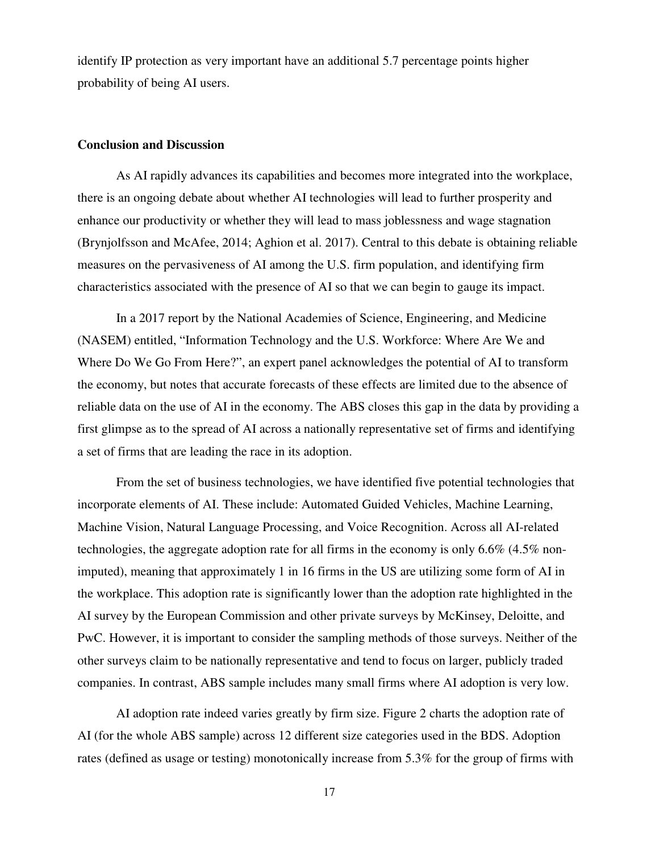identify IP protection as very important have an additional 5.7 percentage points higher probability of being AI users.

#### **Conclusion and Discussion**

As AI rapidly advances its capabilities and becomes more integrated into the workplace, there is an ongoing debate about whether AI technologies will lead to further prosperity and enhance our productivity or whether they will lead to mass joblessness and wage stagnation (Brynjolfsson and McAfee, 2014; Aghion et al. 2017). Central to this debate is obtaining reliable measures on the pervasiveness of AI among the U.S. firm population, and identifying firm characteristics associated with the presence of AI so that we can begin to gauge its impact.

In a 2017 report by the National Academies of Science, Engineering, and Medicine (NASEM) entitled, "Information Technology and the U.S. Workforce: Where Are We and Where Do We Go From Here?", an expert panel acknowledges the potential of AI to transform the economy, but notes that accurate forecasts of these effects are limited due to the absence of reliable data on the use of AI in the economy. The ABS closes this gap in the data by providing a first glimpse as to the spread of AI across a nationally representative set of firms and identifying a set of firms that are leading the race in its adoption.

From the set of business technologies, we have identified five potential technologies that incorporate elements of AI. These include: Automated Guided Vehicles, Machine Learning, Machine Vision, Natural Language Processing, and Voice Recognition. Across all AI-related technologies, the aggregate adoption rate for all firms in the economy is only 6.6% (4.5% nonimputed), meaning that approximately 1 in 16 firms in the US are utilizing some form of AI in the workplace. This adoption rate is significantly lower than the adoption rate highlighted in the AI survey by the European Commission and other private surveys by McKinsey, Deloitte, and PwC. However, it is important to consider the sampling methods of those surveys. Neither of the other surveys claim to be nationally representative and tend to focus on larger, publicly traded companies. In contrast, ABS sample includes many small firms where AI adoption is very low.

AI adoption rate indeed varies greatly by firm size. Figure 2 charts the adoption rate of AI (for the whole ABS sample) across 12 different size categories used in the BDS. Adoption rates (defined as usage or testing) monotonically increase from 5.3% for the group of firms with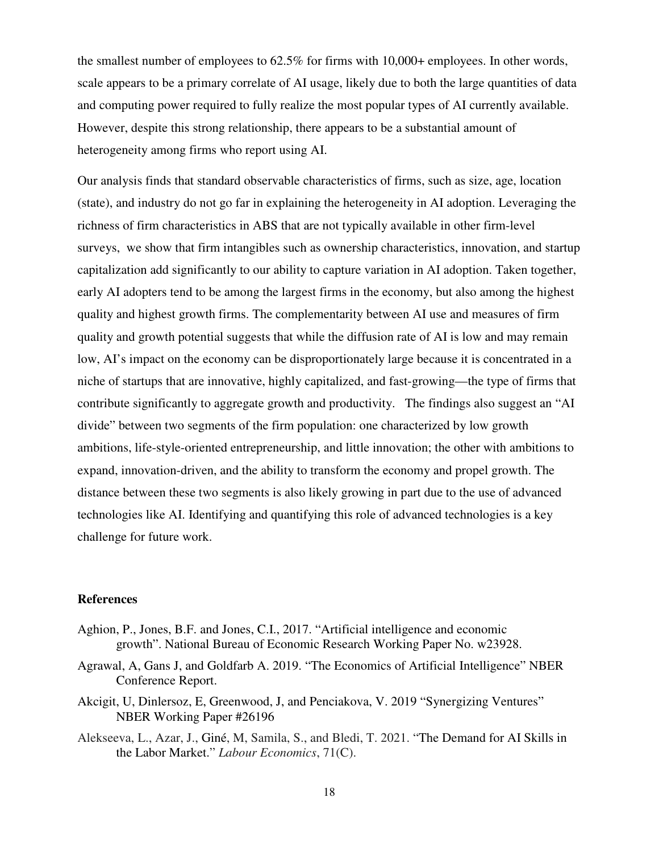the smallest number of employees to 62.5% for firms with 10,000+ employees. In other words, scale appears to be a primary correlate of AI usage, likely due to both the large quantities of data and computing power required to fully realize the most popular types of AI currently available. However, despite this strong relationship, there appears to be a substantial amount of heterogeneity among firms who report using AI.

Our analysis finds that standard observable characteristics of firms, such as size, age, location (state), and industry do not go far in explaining the heterogeneity in AI adoption. Leveraging the richness of firm characteristics in ABS that are not typically available in other firm-level surveys, we show that firm intangibles such as ownership characteristics, innovation, and startup capitalization add significantly to our ability to capture variation in AI adoption. Taken together, early AI adopters tend to be among the largest firms in the economy, but also among the highest quality and highest growth firms. The complementarity between AI use and measures of firm quality and growth potential suggests that while the diffusion rate of AI is low and may remain low, AI's impact on the economy can be disproportionately large because it is concentrated in a niche of startups that are innovative, highly capitalized, and fast-growing—the type of firms that contribute significantly to aggregate growth and productivity. The findings also suggest an "AI divide" between two segments of the firm population: one characterized by low growth ambitions, life-style-oriented entrepreneurship, and little innovation; the other with ambitions to expand, innovation-driven, and the ability to transform the economy and propel growth. The distance between these two segments is also likely growing in part due to the use of advanced technologies like AI. Identifying and quantifying this role of advanced technologies is a key challenge for future work.

#### **References**

- Aghion, P., Jones, B.F. and Jones, C.I., 2017. "Artificial intelligence and economic growth". National Bureau of Economic Research Working Paper No. w23928.
- Agrawal, A, Gans J, and Goldfarb A. 2019. "The Economics of Artificial Intelligence" NBER Conference Report.
- Akcigit, U, Dinlersoz, E, Greenwood, J, and Penciakova, V. 2019 "Synergizing Ventures" NBER Working Paper #26196
- Alekseeva, L., Azar, J., Giné, M, Samila, S., and Bledi, T. 2021. "The Demand for AI Skills in the Labor Market." *Labour Economics*, 71(C).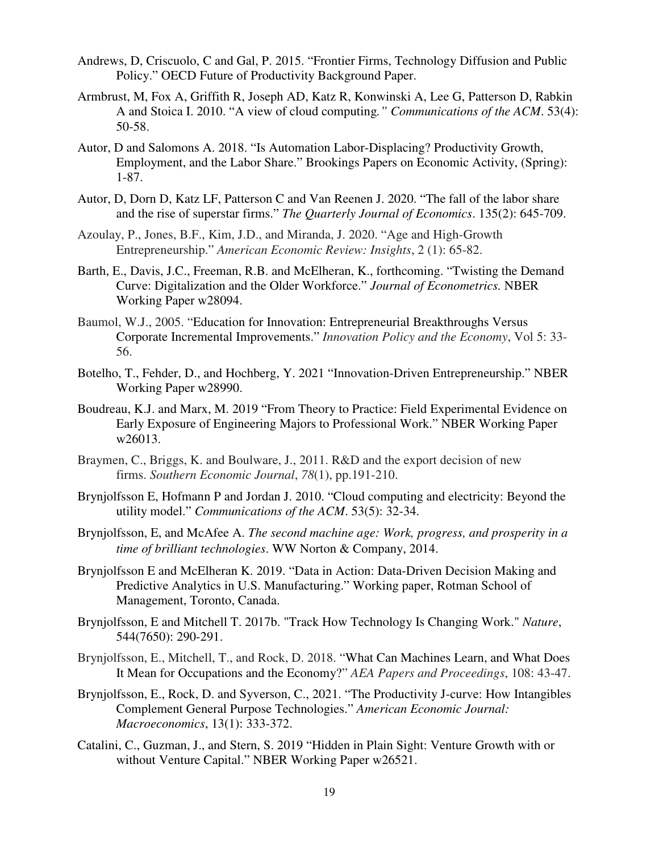- Andrews, D, Criscuolo, C and Gal, P. 2015. "Frontier Firms, Technology Diffusion and Public Policy." OECD Future of Productivity Background Paper.
- Armbrust, M, Fox A, Griffith R, Joseph AD, Katz R, Konwinski A, Lee G, Patterson D, Rabkin A and Stoica I. 2010. "A view of cloud computing*." Communications of the ACM*. 53(4): 50-58.
- Autor, D and Salomons A. 2018. "Is Automation Labor-Displacing? Productivity Growth, Employment, and the Labor Share." Brookings Papers on Economic Activity, (Spring): 1-87.
- Autor, D, Dorn D, Katz LF, Patterson C and Van Reenen J. 2020. "The fall of the labor share and the rise of superstar firms." *The Quarterly Journal of Economics*. 135(2): 645-709.
- Azoulay, P., Jones, B.F., Kim, J.D., and Miranda, J. 2020. "Age and High-Growth Entrepreneurship." *American Economic Review: Insights*, 2 (1): 65-82.
- Barth, E., Davis, J.C., Freeman, R.B. and McElheran, K., forthcoming. "Twisting the Demand Curve: Digitalization and the Older Workforce." *Journal of Econometrics.* NBER Working Paper w28094.
- Baumol, W.J., 2005. "Education for Innovation: Entrepreneurial Breakthroughs Versus Corporate Incremental Improvements." *Innovation Policy and the Economy*, Vol 5: 33- 56.
- Botelho, T., Fehder, D., and Hochberg, Y. 2021 "Innovation-Driven Entrepreneurship." NBER Working Paper w28990.
- Boudreau, K.J. and Marx, M. 2019 "From Theory to Practice: Field Experimental Evidence on Early Exposure of Engineering Majors to Professional Work." NBER Working Paper w26013.
- Braymen, C., Briggs, K. and Boulware, J., 2011. R&D and the export decision of new firms. *Southern Economic Journal*, *78*(1), pp.191-210.
- Brynjolfsson E, Hofmann P and Jordan J. 2010. "Cloud computing and electricity: Beyond the utility model." *Communications of the ACM*. 53(5): 32-34.
- Brynjolfsson, E, and McAfee A. *The second machine age: Work, progress, and prosperity in a time of brilliant technologies*. WW Norton & Company, 2014.
- Brynjolfsson E and McElheran K. 2019. "Data in Action: Data-Driven Decision Making and Predictive Analytics in U.S. Manufacturing." Working paper, Rotman School of Management, Toronto, Canada.
- Brynjolfsson, E and Mitchell T. 2017b. "Track How Technology Is Changing Work." *Nature*, 544(7650): 290-291.
- Brynjolfsson, E., Mitchell, T., and Rock, D. 2018. "What Can Machines Learn, and What Does It Mean for Occupations and the Economy?" *AEA Papers and Proceedings*, 108: 43-47.
- Brynjolfsson, E., Rock, D. and Syverson, C., 2021. "The Productivity J-curve: How Intangibles Complement General Purpose Technologies." *American Economic Journal: Macroeconomics*, 13(1): 333-372.
- Catalini, C., Guzman, J., and Stern, S. 2019 "Hidden in Plain Sight: Venture Growth with or without Venture Capital." NBER Working Paper w26521.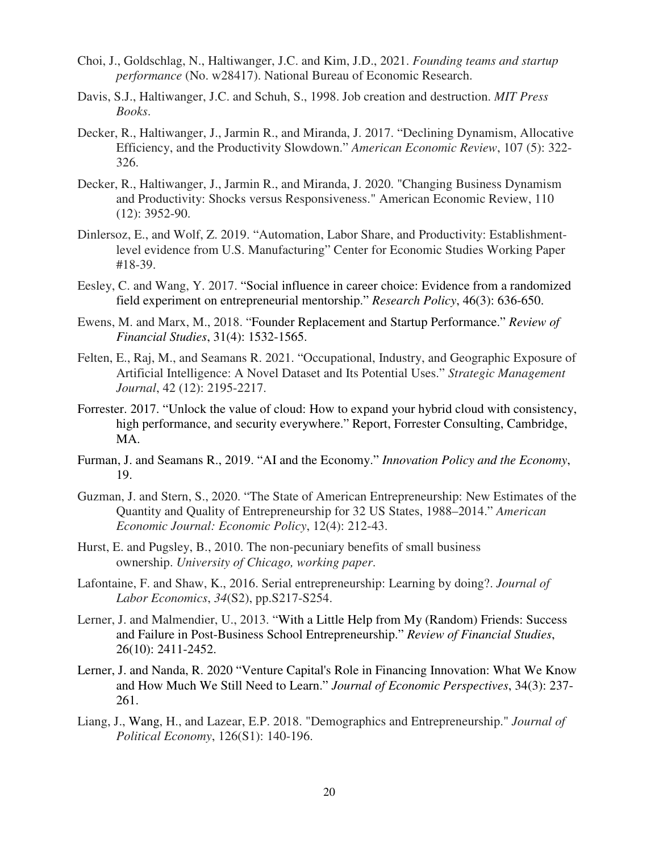- Choi, J., Goldschlag, N., Haltiwanger, J.C. and Kim, J.D., 2021. *Founding teams and startup performance* (No. w28417). National Bureau of Economic Research.
- Davis, S.J., Haltiwanger, J.C. and Schuh, S., 1998. Job creation and destruction. *MIT Press Books*.
- Decker, R., Haltiwanger, J., Jarmin R., and Miranda, J. 2017. "Declining Dynamism, Allocative Efficiency, and the Productivity Slowdown." *American Economic Review*, 107 (5): 322- 326.
- Decker, R., Haltiwanger, J., Jarmin R., and Miranda, J. 2020. "Changing Business Dynamism and Productivity: Shocks versus Responsiveness." American Economic Review, 110 (12): 3952-90.
- Dinlersoz, E., and Wolf, Z. 2019. "Automation, Labor Share, and Productivity: Establishmentlevel evidence from U.S. Manufacturing" Center for Economic Studies Working Paper #18-39.
- Eesley, C. and Wang, Y. 2017. "Social influence in career choice: Evidence from a randomized field experiment on entrepreneurial mentorship." *Research Policy*, 46(3): 636-650.
- Ewens, M. and Marx, M., 2018. "Founder Replacement and Startup Performance." *Review of Financial Studies*, 31(4): 1532-1565.
- Felten, E., Raj, M., and Seamans R. 2021. "Occupational, Industry, and Geographic Exposure of Artificial Intelligence: A Novel Dataset and Its Potential Uses." *Strategic Management Journal*, 42 (12): 2195-2217.
- Forrester. 2017. "Unlock the value of cloud: How to expand your hybrid cloud with consistency, high performance, and security everywhere." Report, Forrester Consulting, Cambridge, MA.
- Furman, J. and Seamans R., 2019. "AI and the Economy." *Innovation Policy and the Economy*, 19.
- Guzman, J. and Stern, S., 2020. "The State of American Entrepreneurship: New Estimates of the Quantity and Quality of Entrepreneurship for 32 US States, 1988–2014." *American Economic Journal: Economic Policy*, 12(4): 212-43.
- Hurst, E. and Pugsley, B., 2010. The non-pecuniary benefits of small business ownership. *University of Chicago, working paper*.
- Lafontaine, F. and Shaw, K., 2016. Serial entrepreneurship: Learning by doing?. *Journal of Labor Economics*, *34*(S2), pp.S217-S254.
- Lerner, J. and Malmendier, U., 2013. "With a Little Help from My (Random) Friends: Success and Failure in Post-Business School Entrepreneurship." *Review of Financial Studies*, 26(10): 2411-2452.
- Lerner, J. and Nanda, R. 2020 "Venture Capital's Role in Financing Innovation: What We Know and How Much We Still Need to Learn." *Journal of Economic Perspectives*, 34(3): 237- 261.
- Liang, J., Wang, H., and Lazear, E.P. 2018. "Demographics and Entrepreneurship." *Journal of Political Economy*, 126(S1): 140-196.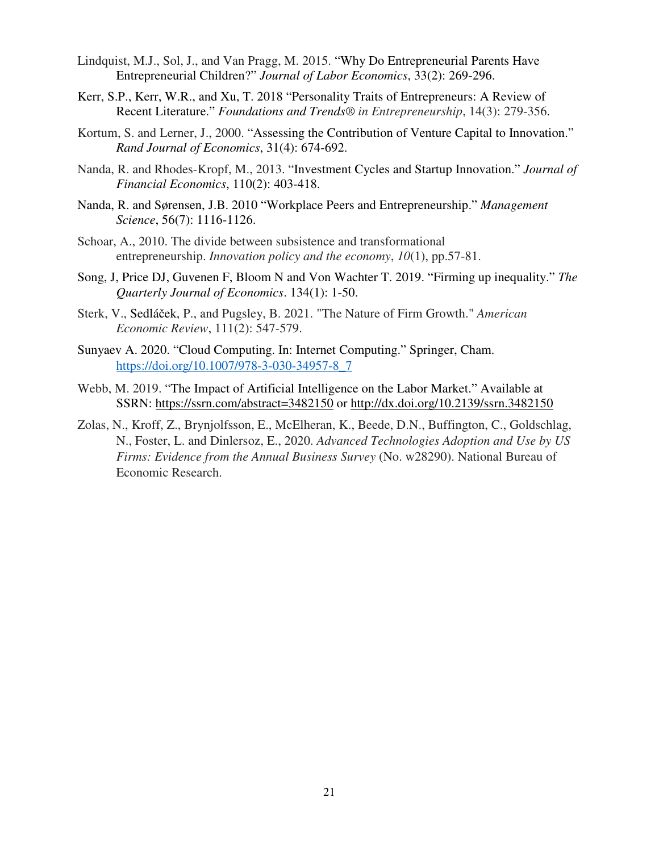- Lindquist, M.J., Sol, J., and Van Pragg, M. 2015. "Why Do Entrepreneurial Parents Have Entrepreneurial Children?" *Journal of Labor Economics*, 33(2): 269-296.
- Kerr, S.P., Kerr, W.R., and Xu, T. 2018 "Personality Traits of Entrepreneurs: A Review of Recent Literature." *Foundations and Trends® in Entrepreneurship*, 14(3): 279-356.
- Kortum, S. and Lerner, J., 2000. "Assessing the Contribution of Venture Capital to Innovation." *Rand Journal of Economics*, 31(4): 674-692.
- Nanda, R. and Rhodes-Kropf, M., 2013. "Investment Cycles and Startup Innovation." *Journal of Financial Economics*, 110(2): 403-418.
- Nanda, R. and Sørensen, J.B. 2010 "Workplace Peers and Entrepreneurship." *Management Science*, 56(7): 1116-1126.
- Schoar, A., 2010. The divide between subsistence and transformational entrepreneurship. *Innovation policy and the economy*, *10*(1), pp.57-81.
- Song, J, Price DJ, Guvenen F, Bloom N and Von Wachter T. 2019. "Firming up inequality." *The Quarterly Journal of Economics*. 134(1): 1-50.
- Sterk, V., Sedláček, P., and Pugsley, B. 2021. "The Nature of Firm Growth." *American Economic Review*, 111(2): 547-579.
- Sunyaev A. 2020. "Cloud Computing. In: Internet Computing." Springer, Cham. https://doi.org/10.1007/978-3-030-34957-8\_7
- Webb, M. 2019. "The Impact of Artificial Intelligence on the Labor Market." Available at SSRN: https://ssrn.com/abstract=3482150 or http://dx.doi.org/10.2139/ssrn.3482150
- Zolas, N., Kroff, Z., Brynjolfsson, E., McElheran, K., Beede, D.N., Buffington, C., Goldschlag, N., Foster, L. and Dinlersoz, E., 2020. *Advanced Technologies Adoption and Use by US Firms: Evidence from the Annual Business Survey* (No. w28290). National Bureau of Economic Research.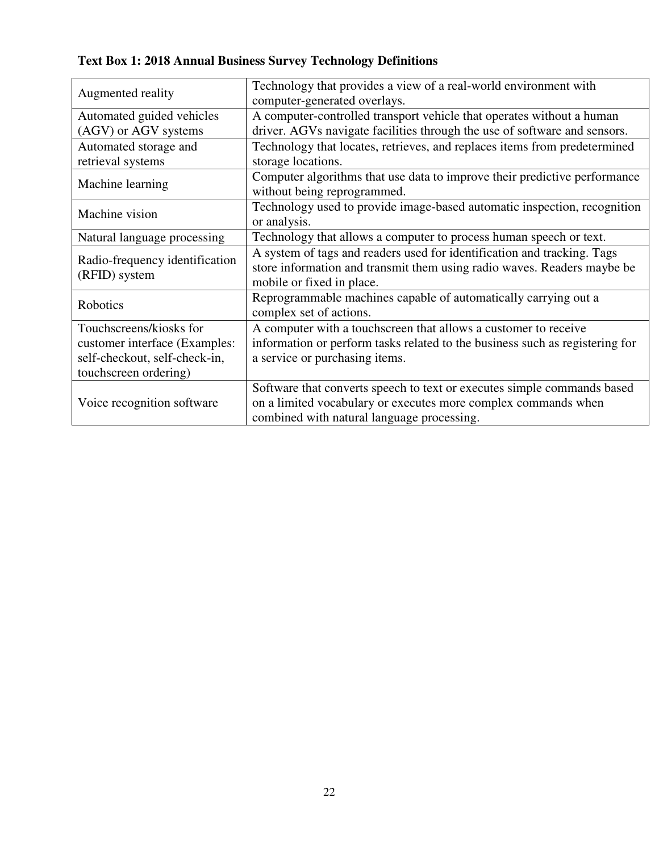| Augmented reality              | Technology that provides a view of a real-world environment with             |  |  |  |
|--------------------------------|------------------------------------------------------------------------------|--|--|--|
|                                | computer-generated overlays.                                                 |  |  |  |
| Automated guided vehicles      | A computer-controlled transport vehicle that operates without a human        |  |  |  |
| (AGV) or AGV systems           | driver. AGVs navigate facilities through the use of software and sensors.    |  |  |  |
| Automated storage and          | Technology that locates, retrieves, and replaces items from predetermined    |  |  |  |
| retrieval systems              | storage locations.                                                           |  |  |  |
| Machine learning               | Computer algorithms that use data to improve their predictive performance    |  |  |  |
|                                | without being reprogrammed.                                                  |  |  |  |
| Machine vision                 | Technology used to provide image-based automatic inspection, recognition     |  |  |  |
|                                | or analysis.                                                                 |  |  |  |
| Natural language processing    | Technology that allows a computer to process human speech or text.           |  |  |  |
| Radio-frequency identification | A system of tags and readers used for identification and tracking. Tags      |  |  |  |
| (RFID) system                  | store information and transmit them using radio waves. Readers maybe be      |  |  |  |
|                                | mobile or fixed in place.                                                    |  |  |  |
| Robotics                       | Reprogrammable machines capable of automatically carrying out a              |  |  |  |
|                                | complex set of actions.                                                      |  |  |  |
| Touchscreens/kiosks for        | A computer with a touchscreen that allows a customer to receive              |  |  |  |
| customer interface (Examples:  | information or perform tasks related to the business such as registering for |  |  |  |
| self-checkout, self-check-in,  | a service or purchasing items.                                               |  |  |  |
| touchscreen ordering)          |                                                                              |  |  |  |
|                                | Software that converts speech to text or executes simple commands based      |  |  |  |
| Voice recognition software     | on a limited vocabulary or executes more complex commands when               |  |  |  |
|                                | combined with natural language processing.                                   |  |  |  |

**Text Box 1: 2018 Annual Business Survey Technology Definitions**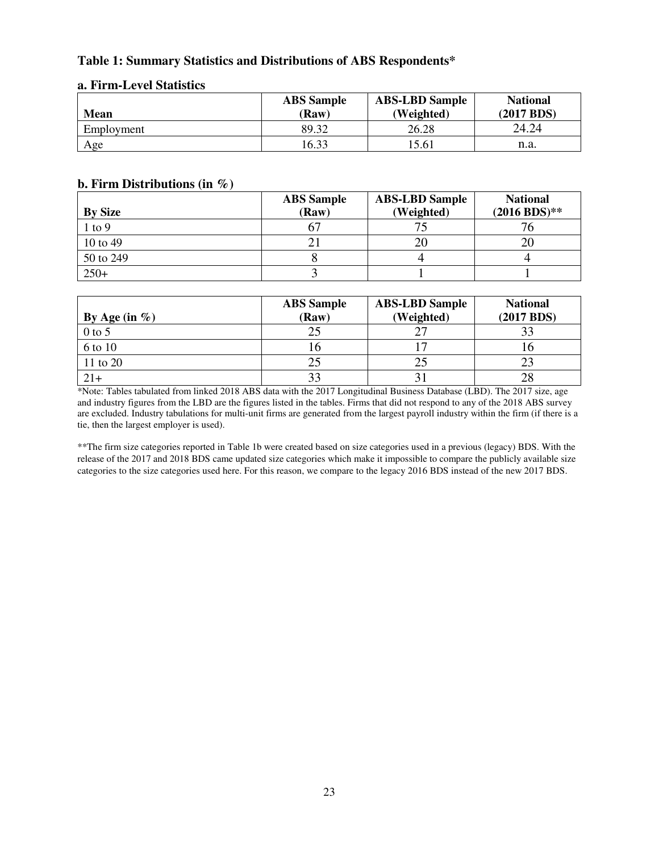#### **Table 1: Summary Statistics and Distributions of ABS Respondents\***

| <b>Mean</b> | <b>ABS</b> Sample<br>(Raw) | <b>ABS-LBD Sample</b><br>(Weighted) | <b>National</b><br>(2017 BDS) |
|-------------|----------------------------|-------------------------------------|-------------------------------|
| Employment  | 89.32                      | 26.28                               | 24.24                         |
| Age         | 16.33                      | 15.61                               | n.a.                          |

#### **a. Firm-Level Statistics**

#### **b. Firm Distributions (in %)**

|                | <b>ABS</b> Sample | <b>ABS-LBD Sample</b> | <b>National</b> |
|----------------|-------------------|-----------------------|-----------------|
| <b>By Size</b> | (Raw)             | (Weighted)            | $(2016 BDS)**$  |
| $1$ to $9$     |                   |                       |                 |
| 10 to 49       |                   |                       | 20              |
| 50 to 249      |                   |                       |                 |
| $250+$         |                   |                       |                 |

| By Age (in $\%$ ) | <b>ABS</b> Sample<br>(Raw) | <b>ABS-LBD Sample</b><br>(Weighted) | <b>National</b><br>(2017 BDS) |
|-------------------|----------------------------|-------------------------------------|-------------------------------|
| $0$ to 5          |                            |                                     | 33                            |
| 6 to 10           |                            |                                     |                               |
| 11 to 20          |                            |                                     |                               |
| $21+$             |                            |                                     | 28                            |

\*Note: Tables tabulated from linked 2018 ABS data with the 2017 Longitudinal Business Database (LBD). The 2017 size, age and industry figures from the LBD are the figures listed in the tables. Firms that did not respond to any of the 2018 ABS survey are excluded. Industry tabulations for multi-unit firms are generated from the largest payroll industry within the firm (if there is a tie, then the largest employer is used).

\*\*The firm size categories reported in Table 1b were created based on size categories used in a previous (legacy) BDS. With the release of the 2017 and 2018 BDS came updated size categories which make it impossible to compare the publicly available size categories to the size categories used here. For this reason, we compare to the legacy 2016 BDS instead of the new 2017 BDS.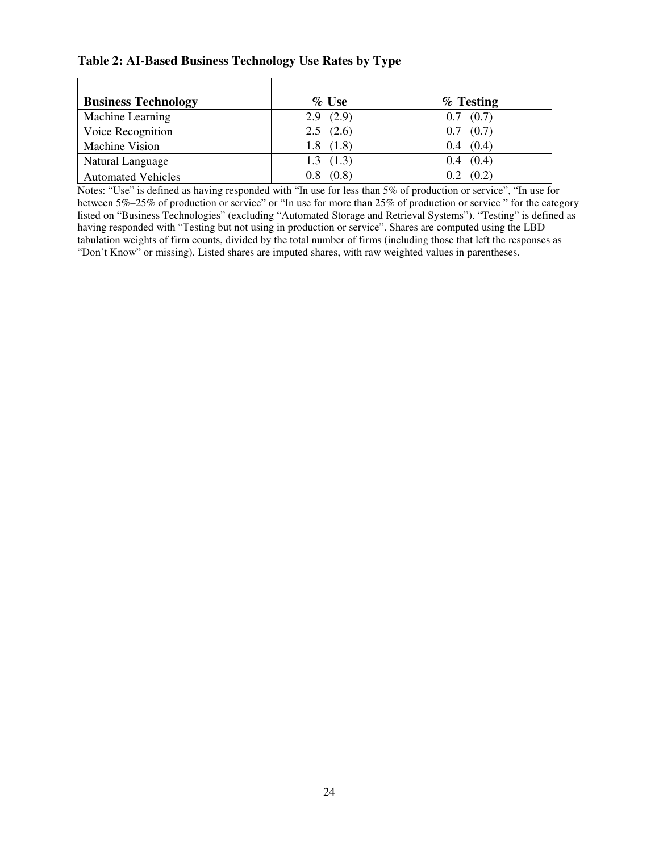#### **Table 2: AI-Based Business Technology Use Rates by Type**

| <b>Business Technology</b> | $\%$ Use      | $%$ Testing   |
|----------------------------|---------------|---------------|
| Machine Learning           | 2.9(2.9)      | $0.7$ $(0.7)$ |
| Voice Recognition          | $2.5$ $(2.6)$ | $0.7$ $(0.7)$ |
| <b>Machine Vision</b>      | 1.8(1.8)      | $0.4$ $(0.4)$ |
| Natural Language           | 1.3(1.3)      | $0.4$ $(0.4)$ |
| <b>Automated Vehicles</b>  | $0.8$ $(0.8)$ | $0.2$ $(0.2)$ |

Notes: "Use" is defined as having responded with "In use for less than 5% of production or service", "In use for between 5%–25% of production or service" or "In use for more than 25% of production or service " for the category listed on "Business Technologies" (excluding "Automated Storage and Retrieval Systems"). "Testing" is defined as having responded with "Testing but not using in production or service". Shares are computed using the LBD tabulation weights of firm counts, divided by the total number of firms (including those that left the responses as "Don't Know" or missing). Listed shares are imputed shares, with raw weighted values in parentheses.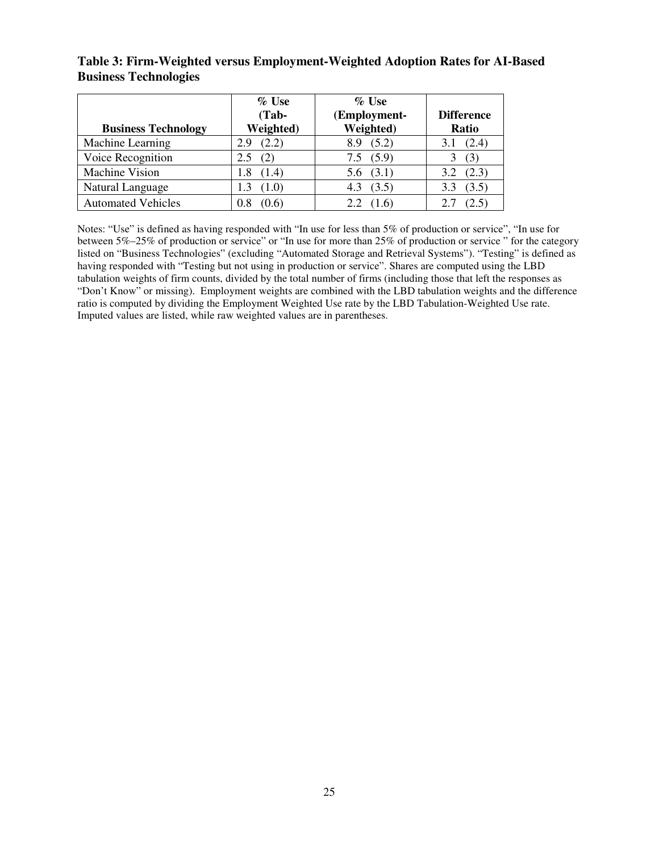## **Table 3: Firm-Weighted versus Employment-Weighted Adoption Rates for AI-Based Business Technologies**

| <b>Business Technology</b> | $\%$ Use<br>$(Tab -$<br>Weighted) | $\%$ Use<br>(Employment-<br>Weighted) | <b>Difference</b><br>Ratio |
|----------------------------|-----------------------------------|---------------------------------------|----------------------------|
| Machine Learning           | (2.2)<br>2.9                      | (5.2)<br>8.9                          | (2.4)                      |
| Voice Recognition          |                                   | 7.5(5.9)                              | (3)                        |
| <b>Machine Vision</b>      | (1.4)<br>1.8                      | $5.6$ $(3.1)$                         | (2.3)                      |
| Natural Language           | (1.0)                             | (3.5)<br>4.3                          | (3.5)<br>3.3               |
| <b>Automated Vehicles</b>  | (0.6)<br>0.8                      | 2.2                                   | 2.5                        |

Notes: "Use" is defined as having responded with "In use for less than 5% of production or service", "In use for between 5%–25% of production or service" or "In use for more than 25% of production or service " for the category listed on "Business Technologies" (excluding "Automated Storage and Retrieval Systems"). "Testing" is defined as having responded with "Testing but not using in production or service". Shares are computed using the LBD tabulation weights of firm counts, divided by the total number of firms (including those that left the responses as "Don't Know" or missing). Employment weights are combined with the LBD tabulation weights and the difference ratio is computed by dividing the Employment Weighted Use rate by the LBD Tabulation-Weighted Use rate. Imputed values are listed, while raw weighted values are in parentheses.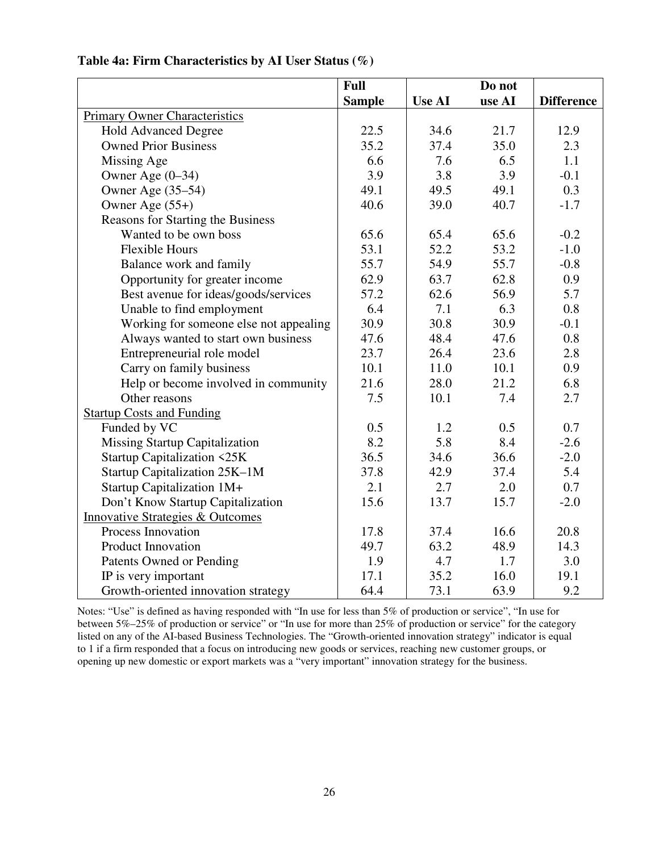|                                             | Full          |               | Do not |                   |
|---------------------------------------------|---------------|---------------|--------|-------------------|
|                                             | <b>Sample</b> | <b>Use AI</b> | use AI | <b>Difference</b> |
| <b>Primary Owner Characteristics</b>        |               |               |        |                   |
| <b>Hold Advanced Degree</b>                 | 22.5          | 34.6          | 21.7   | 12.9              |
| <b>Owned Prior Business</b>                 | 35.2          | 37.4          | 35.0   | 2.3               |
| Missing Age                                 | 6.6           | 7.6           | 6.5    | 1.1               |
| Owner Age (0-34)                            | 3.9           | 3.8           | 3.9    | $-0.1$            |
| Owner Age (35–54)                           | 49.1          | 49.5          | 49.1   | 0.3               |
| Owner Age $(55+)$                           | 40.6          | 39.0          | 40.7   | $-1.7$            |
| Reasons for Starting the Business           |               |               |        |                   |
| Wanted to be own boss                       | 65.6          | 65.4          | 65.6   | $-0.2$            |
| <b>Flexible Hours</b>                       | 53.1          | 52.2          | 53.2   | $-1.0$            |
| Balance work and family                     | 55.7          | 54.9          | 55.7   | $-0.8$            |
| Opportunity for greater income              | 62.9          | 63.7          | 62.8   | 0.9               |
| Best avenue for ideas/goods/services        | 57.2          | 62.6          | 56.9   | 5.7               |
| Unable to find employment                   | 6.4           | 7.1           | 6.3    | 0.8               |
| Working for someone else not appealing      | 30.9          | 30.8          | 30.9   | $-0.1$            |
| Always wanted to start own business         | 47.6          | 48.4          | 47.6   | 0.8               |
| Entrepreneurial role model                  | 23.7          | 26.4          | 23.6   | 2.8               |
| Carry on family business                    | 10.1          | 11.0          | 10.1   | 0.9               |
| Help or become involved in community        | 21.6          | 28.0          | 21.2   | 6.8               |
| Other reasons                               | 7.5           | 10.1          | 7.4    | 2.7               |
| <b>Startup Costs and Funding</b>            |               |               |        |                   |
| Funded by VC                                | 0.5           | 1.2           | 0.5    | 0.7               |
| <b>Missing Startup Capitalization</b>       | 8.2           | 5.8           | 8.4    | $-2.6$            |
| <b>Startup Capitalization &lt;25K</b>       | 36.5          | 34.6          | 36.6   | $-2.0$            |
| Startup Capitalization 25K-1M               | 37.8          | 42.9          | 37.4   | 5.4               |
| Startup Capitalization 1M+                  | 2.1           | 2.7           | 2.0    | 0.7               |
| Don't Know Startup Capitalization           | 15.6          | 13.7          | 15.7   | $-2.0$            |
| <b>Innovative Strategies &amp; Outcomes</b> |               |               |        |                   |
| Process Innovation                          | 17.8          | 37.4          | 16.6   | 20.8              |
| <b>Product Innovation</b>                   | 49.7          | 63.2          | 48.9   | 14.3              |
| Patents Owned or Pending                    | 1.9           | 4.7           | 1.7    | 3.0               |
| IP is very important                        | 17.1          | 35.2          | 16.0   | 19.1              |
| Growth-oriented innovation strategy         | 64.4          | 73.1          | 63.9   | 9.2               |

### **Table 4a: Firm Characteristics by AI User Status (%)**

Notes: "Use" is defined as having responded with "In use for less than 5% of production or service", "In use for between 5%–25% of production or service" or "In use for more than 25% of production or service" for the category listed on any of the AI-based Business Technologies. The "Growth-oriented innovation strategy" indicator is equal to 1 if a firm responded that a focus on introducing new goods or services, reaching new customer groups, or opening up new domestic or export markets was a "very important" innovation strategy for the business.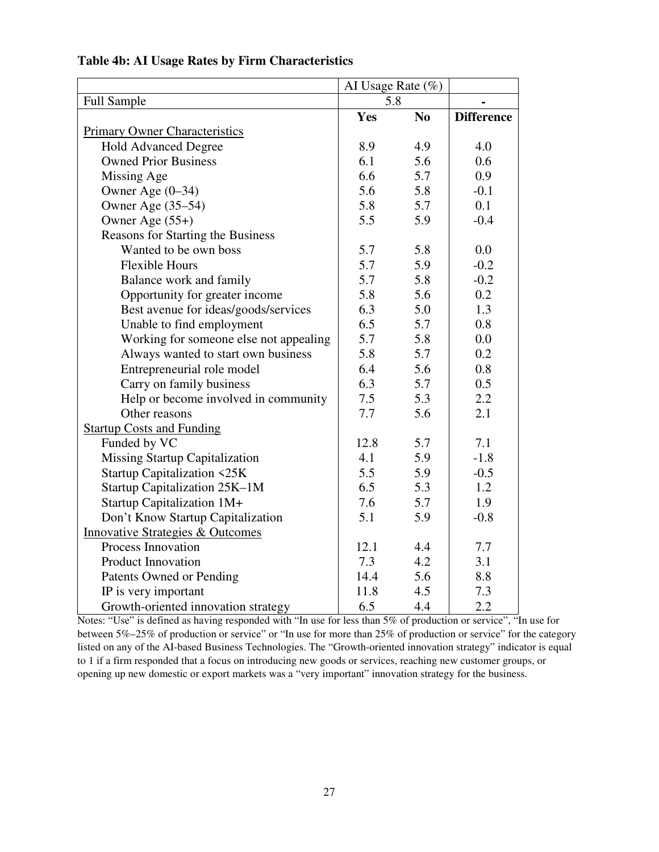|                                             |      | AI Usage Rate (%) |                   |  |
|---------------------------------------------|------|-------------------|-------------------|--|
| Full Sample                                 | 5.8  |                   |                   |  |
|                                             | Yes  | N <sub>o</sub>    | <b>Difference</b> |  |
| <b>Primary Owner Characteristics</b>        |      |                   |                   |  |
| <b>Hold Advanced Degree</b>                 | 8.9  | 4.9               | 4.0               |  |
| <b>Owned Prior Business</b>                 | 6.1  | 5.6               | 0.6               |  |
| Missing Age                                 | 6.6  | 5.7               | 0.9               |  |
| Owner Age $(0-34)$                          | 5.6  | 5.8               | $-0.1$            |  |
| Owner Age (35–54)                           | 5.8  | 5.7               | 0.1               |  |
| Owner Age $(55+)$                           | 5.5  | 5.9               | $-0.4$            |  |
| Reasons for Starting the Business           |      |                   |                   |  |
| Wanted to be own boss                       | 5.7  | 5.8               | 0.0               |  |
| <b>Flexible Hours</b>                       | 5.7  | 5.9               | $-0.2$            |  |
| Balance work and family                     | 5.7  | 5.8               | $-0.2$            |  |
| Opportunity for greater income              | 5.8  | 5.6               | 0.2               |  |
| Best avenue for ideas/goods/services        | 6.3  | 5.0               | 1.3               |  |
| Unable to find employment                   | 6.5  | 5.7               | 0.8               |  |
| Working for someone else not appealing      | 5.7  | 5.8               | 0.0               |  |
| Always wanted to start own business         | 5.8  | 5.7               | 0.2               |  |
| Entrepreneurial role model                  | 6.4  | 5.6               | 0.8               |  |
| Carry on family business                    | 6.3  | 5.7               | 0.5               |  |
| Help or become involved in community        | 7.5  | 5.3               | 2.2               |  |
| Other reasons                               | 7.7  | 5.6               | 2.1               |  |
| <b>Startup Costs and Funding</b>            |      |                   |                   |  |
| Funded by VC                                | 12.8 | 5.7               | 7.1               |  |
| <b>Missing Startup Capitalization</b>       | 4.1  | 5.9               | $-1.8$            |  |
| <b>Startup Capitalization &lt;25K</b>       | 5.5  | 5.9               | $-0.5$            |  |
| Startup Capitalization 25K-1M               | 6.5  | 5.3               | 1.2               |  |
| Startup Capitalization 1M+                  | 7.6  | 5.7               | 1.9               |  |
| Don't Know Startup Capitalization           | 5.1  | 5.9               | $-0.8$            |  |
| <b>Innovative Strategies &amp; Outcomes</b> |      |                   |                   |  |
| Process Innovation                          | 12.1 | 4.4               | 7.7               |  |
| Product Innovation                          | 7.3  | 4.2               | 3.1               |  |
| Patents Owned or Pending                    | 14.4 | 5.6               | 8.8               |  |
| IP is very important                        | 11.8 | 4.5               | 7.3               |  |
| Growth-oriented innovation strategy         | 6.5  | 4.4               | 2.2               |  |

## **Table 4b: AI Usage Rates by Firm Characteristics**

Notes: "Use" is defined as having responded with "In use for less than 5% of production or service", "In use for between 5%–25% of production or service" or "In use for more than 25% of production or service" for the category listed on any of the AI-based Business Technologies. The "Growth-oriented innovation strategy" indicator is equal to 1 if a firm responded that a focus on introducing new goods or services, reaching new customer groups, or opening up new domestic or export markets was a "very important" innovation strategy for the business.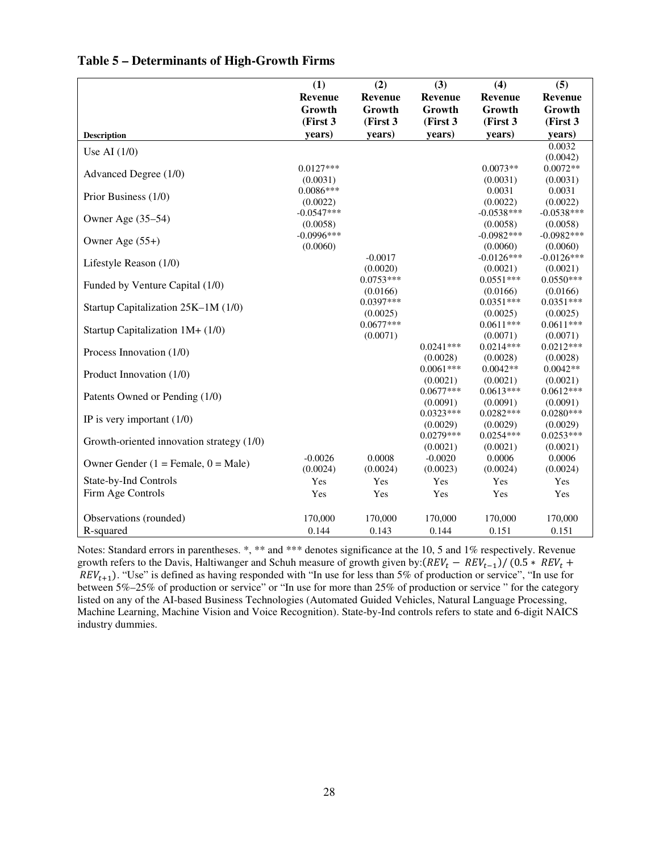|                                           | (1)            | (2)            | (3)                     | (4)                     | (5)                     |
|-------------------------------------------|----------------|----------------|-------------------------|-------------------------|-------------------------|
|                                           | <b>Revenue</b> | <b>Revenue</b> | <b>Revenue</b>          | Revenue                 | <b>Revenue</b>          |
|                                           | Growth         | Growth         | Growth                  | Growth                  | Growth                  |
|                                           | (First 3       | (First 3       | (First 3                | (First 3                | (First 3)               |
| <b>Description</b>                        | years)         | years)         | vears)                  | years)                  | years)                  |
|                                           |                |                |                         |                         | 0.0032                  |
| Use AI $(1/0)$                            |                |                |                         |                         | (0.0042)                |
| Advanced Degree (1/0)                     | $0.0127***$    |                |                         | $0.0073**$              | $0.0072**$              |
|                                           | (0.0031)       |                |                         | (0.0031)                | (0.0031)                |
| Prior Business (1/0)                      | $0.0086***$    |                |                         | 0.0031                  | 0.0031                  |
|                                           | (0.0022)       |                |                         | (0.0022)                | (0.0022)                |
| Owner Age (35–54)                         | $-0.0547***$   |                |                         | $-0.0538***$            | $-0.0538***$            |
|                                           | (0.0058)       |                |                         | (0.0058)                | (0.0058)                |
| Owner Age $(55+)$                         | $-0.0996***$   |                |                         | $-0.0982***$            | $-0.0982***$            |
|                                           | (0.0060)       |                |                         | (0.0060)                | (0.0060)                |
| Lifestyle Reason (1/0)                    |                | $-0.0017$      |                         | $-0.0126***$            | $-0.0126***$            |
|                                           |                | (0.0020)       |                         | (0.0021)                | (0.0021)                |
| Funded by Venture Capital (1/0)           |                | $0.0753***$    |                         | $0.0551***$             | $0.0550***$             |
|                                           |                | (0.0166)       |                         | (0.0166)                | (0.0166)                |
| Startup Capitalization 25K-1M (1/0)       |                | $0.0397***$    |                         | $0.0351***$             | $0.0351***$             |
|                                           |                | (0.0025)       |                         | (0.0025)                | (0.0025)                |
| Startup Capitalization 1M+ (1/0)          |                | $0.0677***$    |                         | $0.0611***$             | $0.0611***$             |
|                                           |                | (0.0071)       |                         | (0.0071)                | (0.0071)                |
| Process Innovation (1/0)                  |                |                | $0.0241***$             | $0.0214***$             | $0.0212***$             |
|                                           |                |                | (0.0028)                | (0.0028)                | (0.0028)                |
| Product Innovation (1/0)                  |                |                | $0.0061***$             | $0.0042**$              | $0.0042**$              |
|                                           |                |                | (0.0021)                | (0.0021)                | (0.0021)                |
| Patents Owned or Pending (1/0)            |                |                | $0.0677***$             | $0.0613***$             | $0.0612***$             |
|                                           |                |                | (0.0091)<br>$0.0323***$ | (0.0091)<br>$0.0282***$ | (0.0091)<br>$0.0280***$ |
| IP is very important $(1/0)$              |                |                | (0.0029)                | (0.0029)                | (0.0029)                |
|                                           |                |                | $0.0279***$             | $0.0254***$             | $0.0253***$             |
| Growth-oriented innovation strategy (1/0) |                |                | (0.0021)                | (0.0021)                | (0.0021)                |
|                                           | $-0.0026$      | 0.0008         | $-0.0020$               | 0.0006                  | 0.0006                  |
| Owner Gender $(1 =$ Female, $0 =$ Male)   | (0.0024)       | (0.0024)       | (0.0023)                | (0.0024)                | (0.0024)                |
| State-by-Ind Controls                     | Yes            | Yes            | Yes                     | Yes                     | Yes                     |
|                                           | Yes            |                | Yes                     |                         |                         |
| Firm Age Controls                         |                | Yes            |                         | Yes                     | Yes                     |
| Observations (rounded)                    | 170,000        | 170,000        | 170,000                 | 170,000                 | 170,000                 |
|                                           |                |                |                         |                         |                         |
| R-squared                                 | 0.144          | 0.143          | 0.144                   | 0.151                   | 0.151                   |

#### **Table 5 – Determinants of High-Growth Firms**

Notes: Standard errors in parentheses. \*, \*\* and \*\*\* denotes significance at the 10, 5 and 1% respectively. Revenue growth refers to the Davis, Haltiwanger and Schuh measure of growth given by: $(REV_t - REV_{t-1})/(0.5 * REV_t +$  $REV_{t+1}$ ). "Use" is defined as having responded with "In use for less than 5% of production or service", "In use for between 5%–25% of production or service" or "In use for more than 25% of production or service " for the category listed on any of the AI-based Business Technologies (Automated Guided Vehicles, Natural Language Processing, Machine Learning, Machine Vision and Voice Recognition). State-by-Ind controls refers to state and 6-digit NAICS industry dummies.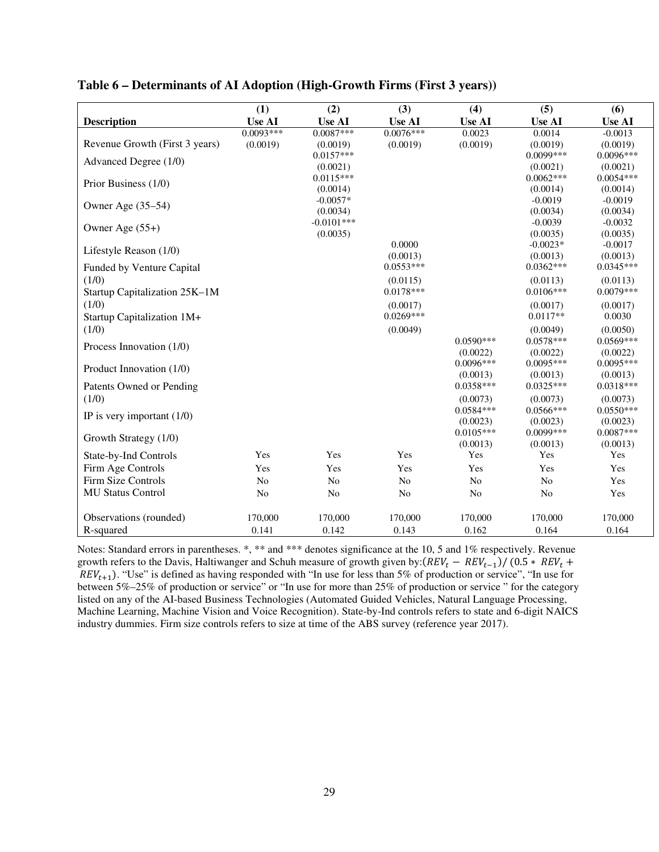|                                | (1)           | (2)                       | (3)            | (4)            | (5)                   | (6)                   |
|--------------------------------|---------------|---------------------------|----------------|----------------|-----------------------|-----------------------|
| <b>Description</b>             | <b>Use AI</b> | <b>Use AI</b>             | <b>Use AI</b>  | <b>Use AI</b>  | <b>Use AI</b>         | <b>Use AI</b>         |
|                                | $0.0093***$   | $0.0087***$               | $0.0076***$    | 0.0023         | 0.0014                | $-0.0013$             |
| Revenue Growth (First 3 years) | (0.0019)      | (0.0019)                  | (0.0019)       | (0.0019)       | (0.0019)              | (0.0019)              |
| Advanced Degree (1/0)          |               | $0.0157***$               |                |                | $0.0099***$           | $0.0096***$           |
|                                |               | (0.0021)                  |                |                | (0.0021)              | (0.0021)              |
| Prior Business (1/0)           |               | $0.0115***$               |                |                | $0.0062***$           | $0.0054***$           |
|                                |               | (0.0014)                  |                |                | (0.0014)              | (0.0014)              |
| Owner Age (35–54)              |               | $-0.0057*$                |                |                | $-0.0019$             | $-0.0019$             |
|                                |               | (0.0034)<br>$-0.0101$ *** |                |                | (0.0034)<br>$-0.0039$ | (0.0034)              |
| Owner Age (55+)                |               | (0.0035)                  |                |                | (0.0035)              | $-0.0032$<br>(0.0035) |
|                                |               |                           | 0.0000         |                | $-0.0023*$            | $-0.0017$             |
| Lifestyle Reason (1/0)         |               |                           | (0.0013)       |                | (0.0013)              | (0.0013)              |
| Funded by Venture Capital      |               |                           | $0.0553***$    |                | $0.0362***$           | $0.0345***$           |
| (1/0)                          |               |                           | (0.0115)       |                | (0.0113)              | (0.0113)              |
| Startup Capitalization 25K-1M  |               |                           | $0.0178***$    |                | $0.0106***$           | $0.0079***$           |
| (1/0)                          |               |                           | (0.0017)       |                | (0.0017)              | (0.0017)              |
| Startup Capitalization 1M+     |               |                           | $0.0269***$    |                | $0.0117**$            | 0.0030                |
| (1/0)                          |               |                           | (0.0049)       |                | (0.0049)              | (0.0050)              |
|                                |               |                           |                | $0.0590***$    | $0.0578***$           | $0.0569***$           |
| Process Innovation (1/0)       |               |                           |                | (0.0022)       | (0.0022)              | (0.0022)              |
|                                |               |                           |                | $0.0096***$    | $0.0095***$           | $0.0095***$           |
| Product Innovation (1/0)       |               |                           |                | (0.0013)       | (0.0013)              | (0.0013)              |
| Patents Owned or Pending       |               |                           |                | $0.0358***$    | $0.0325***$           | $0.0318***$           |
| (1/0)                          |               |                           |                | (0.0073)       | (0.0073)              | (0.0073)              |
|                                |               |                           |                | $0.0584***$    | $0.0566***$           | $0.0550***$           |
| IP is very important $(1/0)$   |               |                           |                | (0.0023)       | (0.0023)              | (0.0023)              |
|                                |               |                           |                | $0.0105***$    | $0.0099***$           | $0.0087***$           |
| Growth Strategy (1/0)          |               |                           |                | (0.0013)       | (0.0013)              | (0.0013)              |
| State-by-Ind Controls          | Yes           | Yes                       | Yes            | Yes            | Yes                   | Yes                   |
| Firm Age Controls              | Yes           | Yes                       | Yes            | Yes            | Yes                   | Yes                   |
| Firm Size Controls             | No            | N <sub>o</sub>            | N <sub>o</sub> | N <sub>o</sub> | N <sub>o</sub>        | Yes                   |
| <b>MU Status Control</b>       | No            | No                        | No             | No             | No                    | Yes                   |
|                                |               |                           |                |                |                       |                       |
| Observations (rounded)         | 170,000       | 170,000                   | 170,000        | 170,000        | 170,000               | 170,000               |
| R-squared                      | 0.141         | 0.142                     | 0.143          | 0.162          | 0.164                 | 0.164                 |

## **Table 6 – Determinants of AI Adoption (High-Growth Firms (First 3 years))**

Notes: Standard errors in parentheses. \*, \*\* and \*\*\* denotes significance at the 10, 5 and 1% respectively. Revenue growth refers to the Davis, Haltiwanger and Schuh measure of growth given by: $(REV_t - REV_{t-1})/(0.5 * REV_t +$  $REV_{t+1}$ ). "Use" is defined as having responded with "In use for less than 5% of production or service", "In use for between 5%–25% of production or service" or "In use for more than 25% of production or service " for the category listed on any of the AI-based Business Technologies (Automated Guided Vehicles, Natural Language Processing, Machine Learning, Machine Vision and Voice Recognition). State-by-Ind controls refers to state and 6-digit NAICS industry dummies. Firm size controls refers to size at time of the ABS survey (reference year 2017).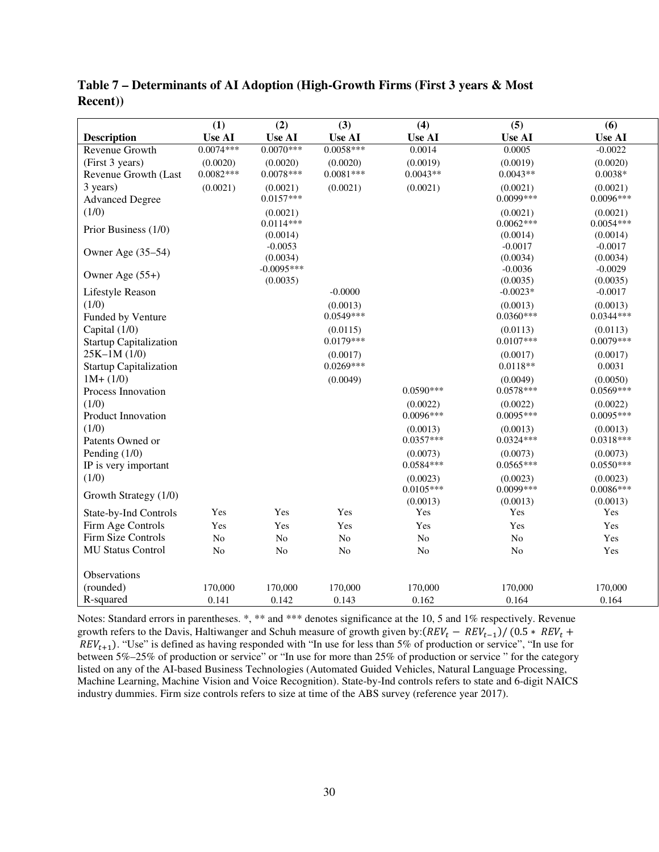|                               | (1)            | (2)            | (3)                     | (4)            | (5)                     | (6)                     |
|-------------------------------|----------------|----------------|-------------------------|----------------|-------------------------|-------------------------|
| <b>Description</b>            | <b>Use AI</b>  | <b>Use AI</b>  | <b>Use AI</b>           | <b>Use AI</b>  | <b>Use AI</b>           | <b>Use AI</b>           |
| Revenue Growth                | $0.0074***$    | $0.0070***$    | $0.0058***$             | 0.0014         | 0.0005                  | $-0.0022$               |
| (First 3 years)               | (0.0020)       | (0.0020)       | (0.0020)                | (0.0019)       | (0.0019)                | (0.0020)                |
| Revenue Growth (Last          | $0.0082***$    | $0.0078***$    | $0.0081***$             | $0.0043**$     | $0.0043**$              | $0.0038*$               |
| 3 years)                      | (0.0021)       | (0.0021)       | (0.0021)                | (0.0021)       | (0.0021)                | (0.0021)                |
| <b>Advanced Degree</b>        |                | $0.0157***$    |                         |                | $0.0099***$             | 0.0096***               |
| (1/0)                         |                | (0.0021)       |                         |                | (0.0021)                | (0.0021)                |
| Prior Business (1/0)          |                | $0.0114***$    |                         |                | $0.0062***$             | $0.0054***$             |
|                               |                | (0.0014)       |                         |                | (0.0014)                | (0.0014)                |
| Owner Age (35-54)             |                | $-0.0053$      |                         |                | $-0.0017$               | $-0.0017$               |
|                               |                | (0.0034)       |                         |                | (0.0034)                | (0.0034)                |
| Owner Age (55+)               |                | $-0.0095***$   |                         |                | $-0.0036$               | $-0.0029$               |
|                               |                | (0.0035)       | $-0.0000$               |                | (0.0035)<br>$-0.0023*$  | (0.0035)<br>$-0.0017$   |
| Lifestyle Reason              |                |                |                         |                |                         |                         |
| (1/0)                         |                |                | (0.0013)<br>$0.0549***$ |                | (0.0013)<br>$0.0360***$ | (0.0013)<br>$0.0344***$ |
| Funded by Venture             |                |                |                         |                |                         |                         |
| Capital (1/0)                 |                |                | (0.0115)                |                | (0.0113)                | (0.0113)                |
| <b>Startup Capitalization</b> |                |                | $0.0179***$             |                | $0.0107***$             | $0.0079***$             |
| $25K-1M(1/0)$                 |                |                | (0.0017)                |                | (0.0017)                | (0.0017)                |
| <b>Startup Capitalization</b> |                |                | $0.0269***$             |                | $0.0118**$              | 0.0031                  |
| $1M+ (1/0)$                   |                |                | (0.0049)                |                | (0.0049)                | (0.0050)                |
| Process Innovation            |                |                |                         | $0.0590***$    | $0.0578***$             | $0.0569***$             |
| (1/0)                         |                |                |                         | (0.0022)       | (0.0022)                | (0.0022)                |
| Product Innovation            |                |                |                         | 0.0096***      | $0.0095***$             | $0.0095***$             |
| (1/0)                         |                |                |                         | (0.0013)       | (0.0013)                | (0.0013)                |
| Patents Owned or              |                |                |                         | $0.0357***$    | $0.0324***$             | $0.0318***$             |
| Pending $(1/0)$               |                |                |                         | (0.0073)       | (0.0073)                | (0.0073)                |
| IP is very important          |                |                |                         | $0.0584***$    | $0.0565***$             | $0.0550***$             |
| (1/0)                         |                |                |                         | (0.0023)       | (0.0023)                | (0.0023)                |
| Growth Strategy (1/0)         |                |                |                         | $0.0105***$    | 0.0099***               | $0.0086***$             |
|                               |                |                |                         | (0.0013)       | (0.0013)                | (0.0013)                |
| State-by-Ind Controls         | Yes            | Yes            | Yes                     | Yes            | Yes                     | Yes                     |
| Firm Age Controls             | Yes            | Yes            | Yes                     | Yes            | Yes                     | Yes                     |
| Firm Size Controls            | N <sub>o</sub> | No             | $\rm No$                | $\rm No$       | $\rm No$                | Yes                     |
| <b>MU Status Control</b>      | N <sub>o</sub> | N <sub>o</sub> | No                      | N <sub>o</sub> | N <sub>0</sub>          | Yes                     |
|                               |                |                |                         |                |                         |                         |
| Observations                  |                |                |                         |                |                         |                         |
| (rounded)                     | 170,000        | 170,000        | 170,000                 | 170,000        | 170,000                 | 170,000                 |
| R-squared                     | 0.141          | 0.142          | 0.143                   | 0.162          | 0.164                   | 0.164                   |

**Table 7 – Determinants of AI Adoption (High-Growth Firms (First 3 years & Most Recent))** 

Notes: Standard errors in parentheses. \*, \*\* and \*\*\* denotes significance at the 10, 5 and 1% respectively. Revenue growth refers to the Davis, Haltiwanger and Schuh measure of growth given by: $(REV_t - REV_{t-1})/(0.5 * REV_t +$  $REV_{t+1}$ ). "Use" is defined as having responded with "In use for less than 5% of production or service", "In use for between 5%–25% of production or service" or "In use for more than 25% of production or service " for the category listed on any of the AI-based Business Technologies (Automated Guided Vehicles, Natural Language Processing, Machine Learning, Machine Vision and Voice Recognition). State-by-Ind controls refers to state and 6-digit NAICS industry dummies. Firm size controls refers to size at time of the ABS survey (reference year 2017).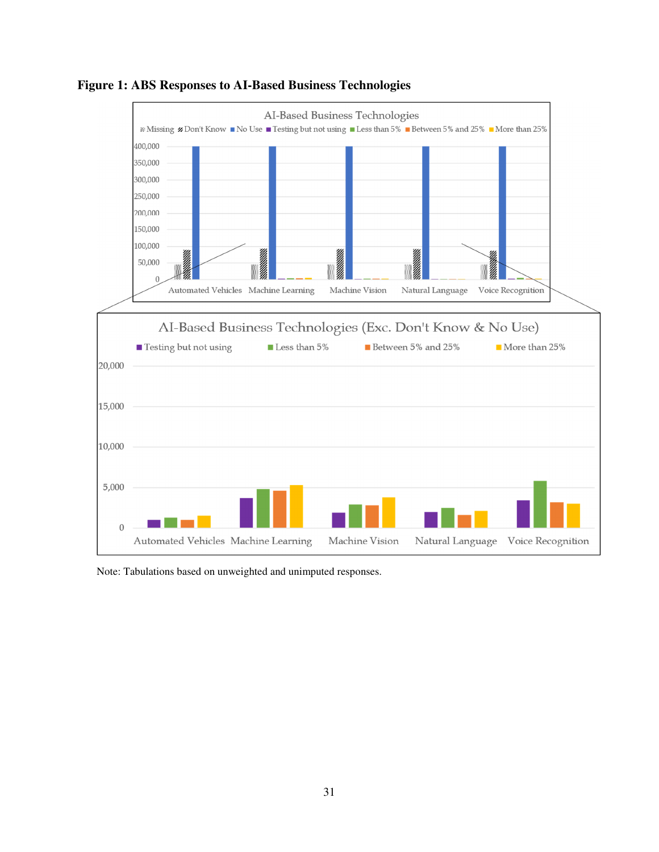

**Figure 1: ABS Responses to AI-Based Business Technologies** 

Note: Tabulations based on unweighted and unimputed responses.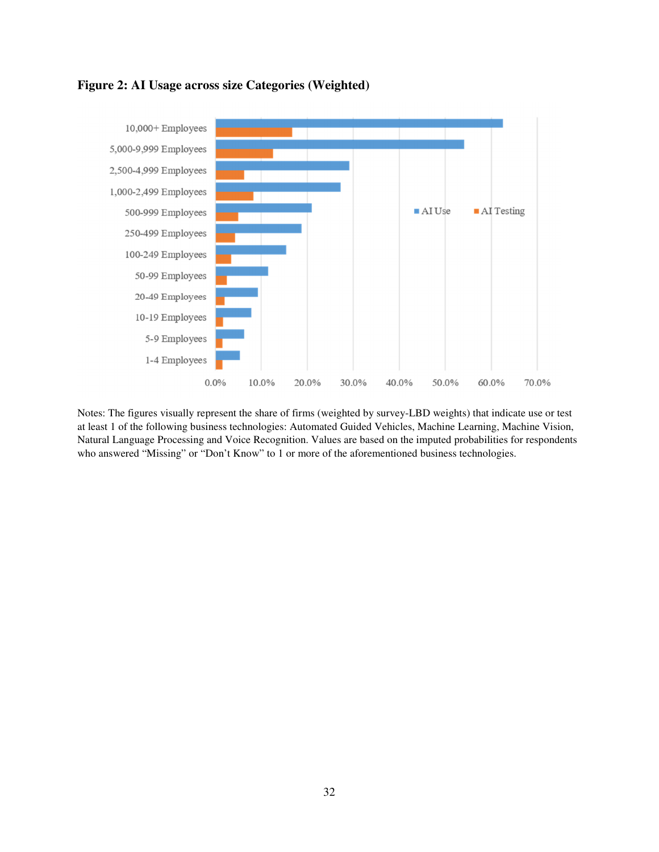

### **Figure 2: AI Usage across size Categories (Weighted)**

Notes: The figures visually represent the share of firms (weighted by survey-LBD weights) that indicate use or test at least 1 of the following business technologies: Automated Guided Vehicles, Machine Learning, Machine Vision, Natural Language Processing and Voice Recognition. Values are based on the imputed probabilities for respondents who answered "Missing" or "Don't Know" to 1 or more of the aforementioned business technologies.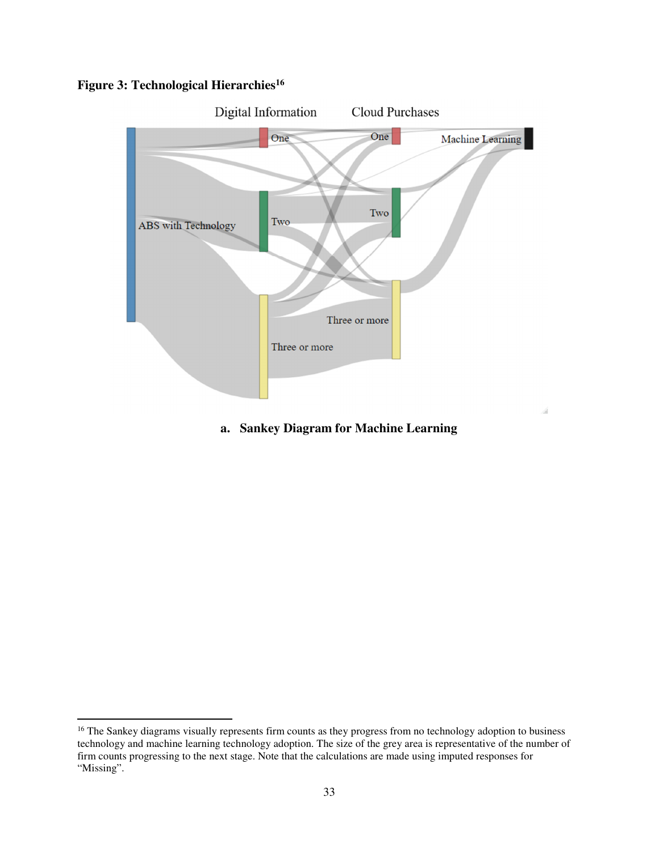## **Figure 3: Technological Hierarchies<sup>16</sup>**

-



## **a. Sankey Diagram for Machine Learning**

<sup>&</sup>lt;sup>16</sup> The Sankey diagrams visually represents firm counts as they progress from no technology adoption to business technology and machine learning technology adoption. The size of the grey area is representative of the number of firm counts progressing to the next stage. Note that the calculations are made using imputed responses for "Missing".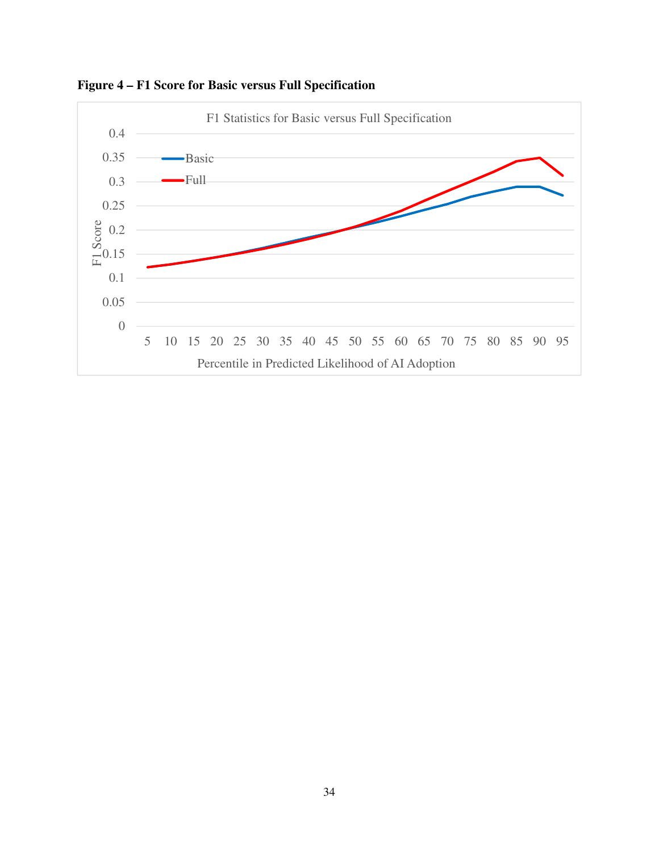

**Figure 4 – F1 Score for Basic versus Full Specification**